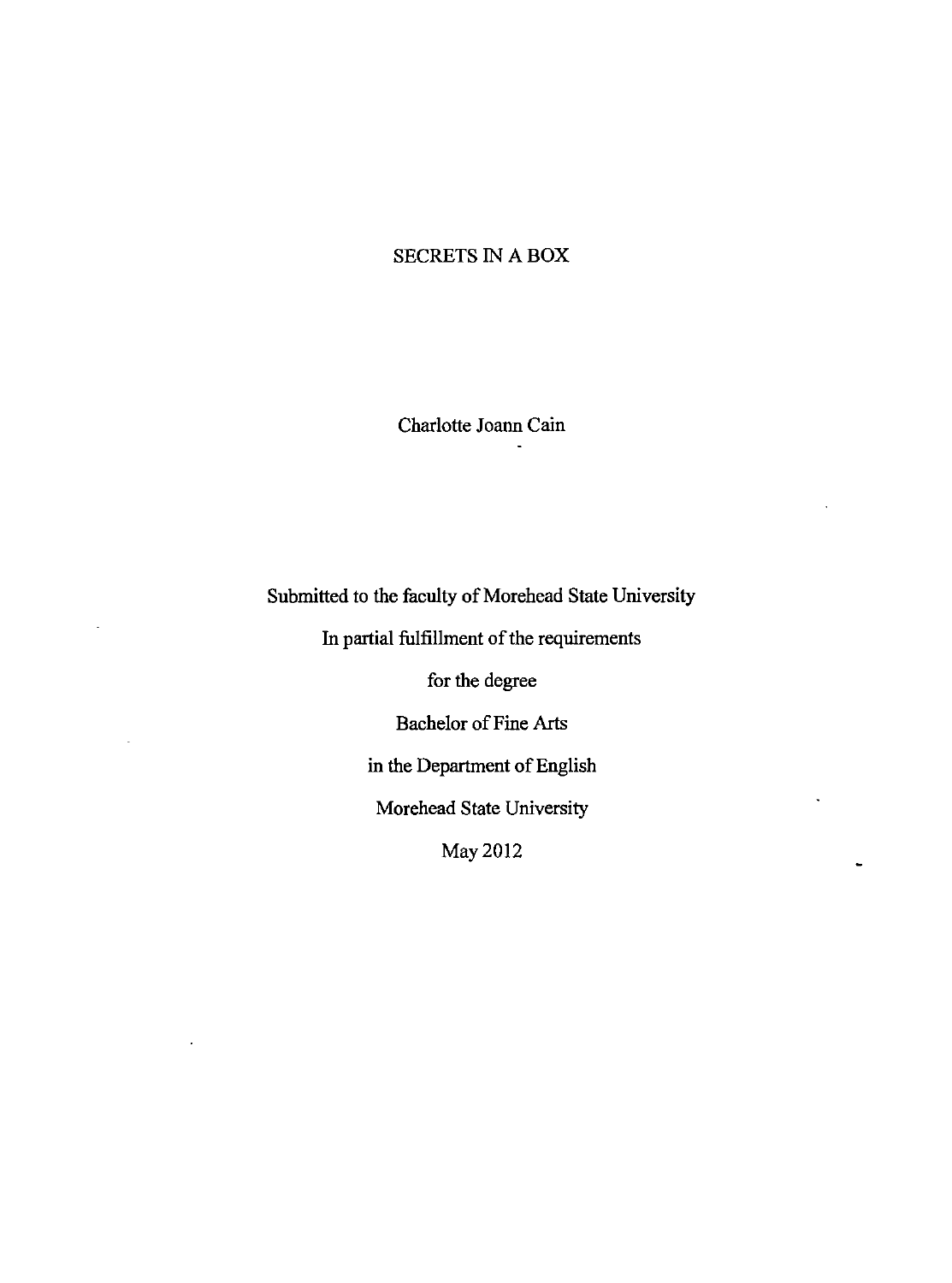## SECRETS IN A BOX

Charlotte Joann Cain

Submitted to the faculty of Morehead State University

In partial fulfillment of the requirements

for the degree

Bachelor of Fine Arts

in the Department of English

Morehead State University

 $\overline{a}$ 

May2012

 $\cdot$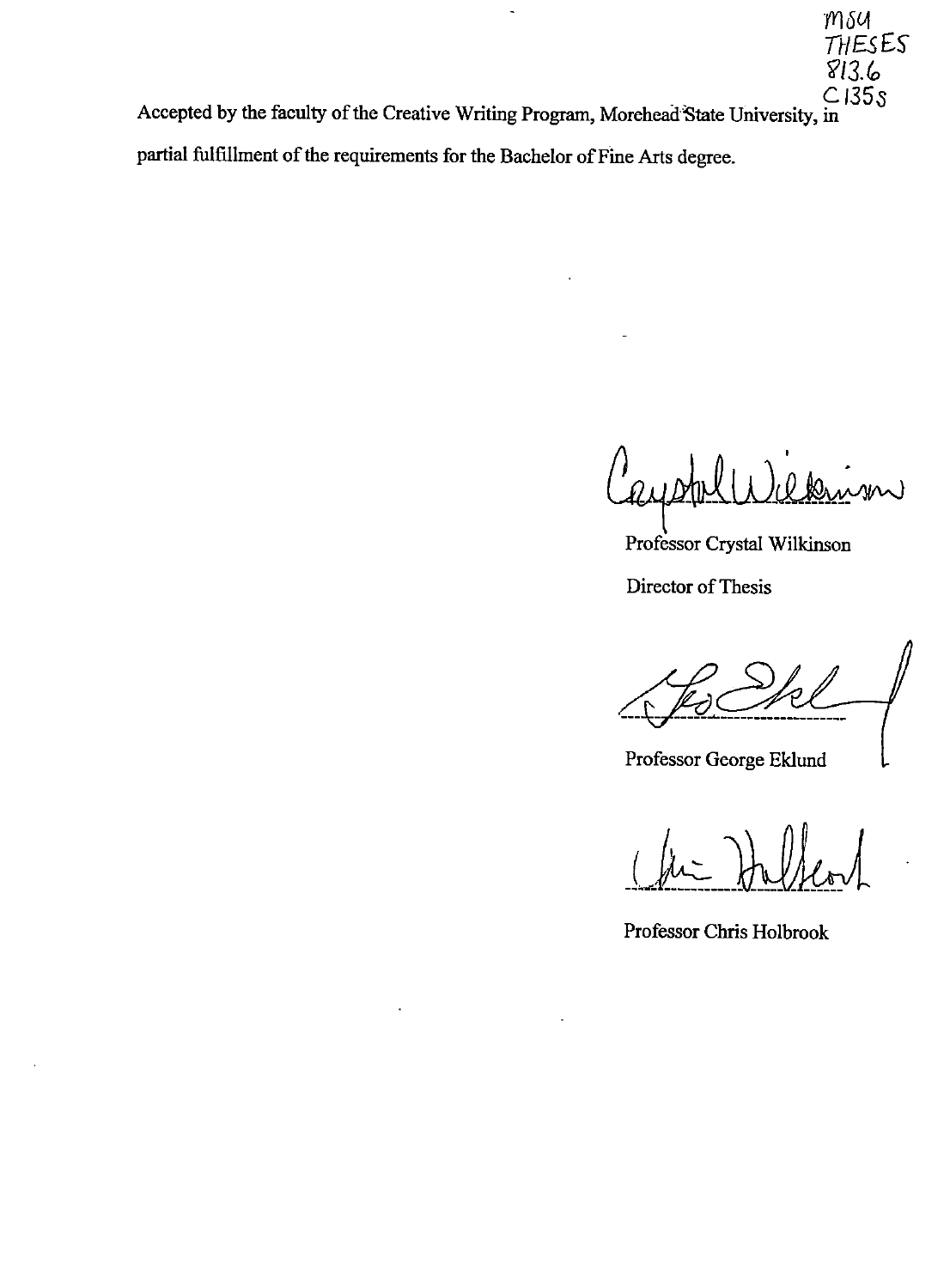**THESES**  $813.6$  $C135s$ Accepted by the faculty of the Creative Writing Program, Morehead-State University, in partial fulfillment of the requirements for the Bachelor of Fine Arts degree.

 $\ddot{\phantom{0}}$ 

W

 $m$ su

Professor Crystal Wilkinson

Director of Thesis

Professor George Eklund

( fin ) beller

Professor Chris Holbrook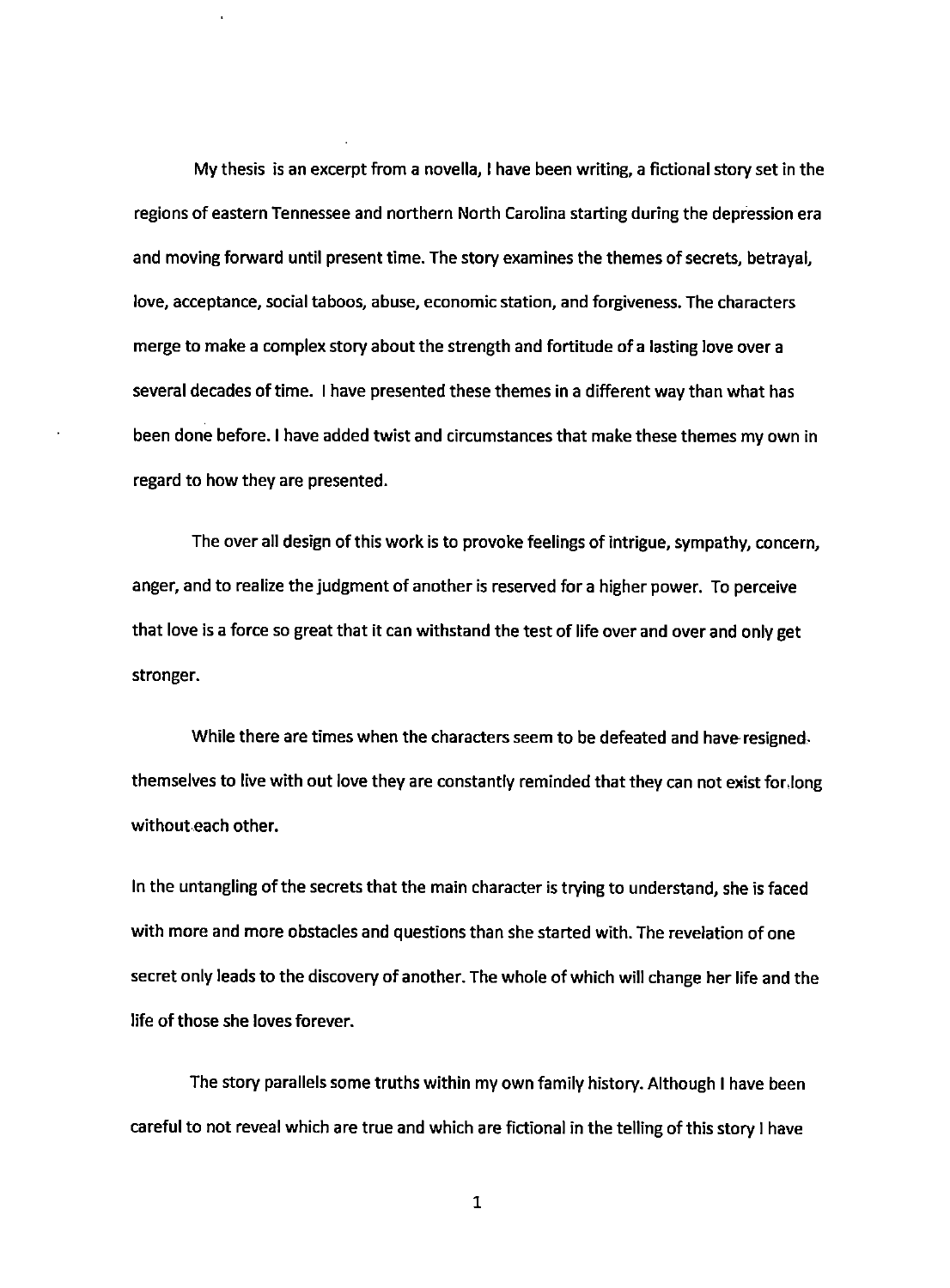My thesis is an excerpt from a novella, I have been writing, a fictional story set in the regions of eastern Tennessee and northern North Carolina starting during the depression era and moving forward until present time. The story examines the themes of secrets, betrayal, love, acceptance, social taboos, abuse, economic station, and forgiveness. The characters merge to make a complex story about the strength and fortitude of a lasting love over a several decades of time. I have presented these themes in a different way than what has been done before. I have added twist and circumstances that make these themes my own in regard to how they are presented.

The over all design of this work is to provoke feelings of intrigue, sympathy, concern, anger, and to realize the judgment of another is reserved for a higher power. To perceive that love is a force so great that it can withstand the test of life over and over and only get stronger.

While there are times when the characters seem to be defeated and have resigned. themselves to live with out love they are constantly reminded that they can not exist for.long without each other.

In the untangling of the secrets that the main character is trying to understand, she is faced with more and more obstacles and questions than she started with. The revelation of one secret only leads to the discovery of another. The whole of which will change her life and the life of those she loves forever.

The story parallels some truths within my own family history. Although I have been careful to not reveal which are true and which are fictional in the telling of this story I have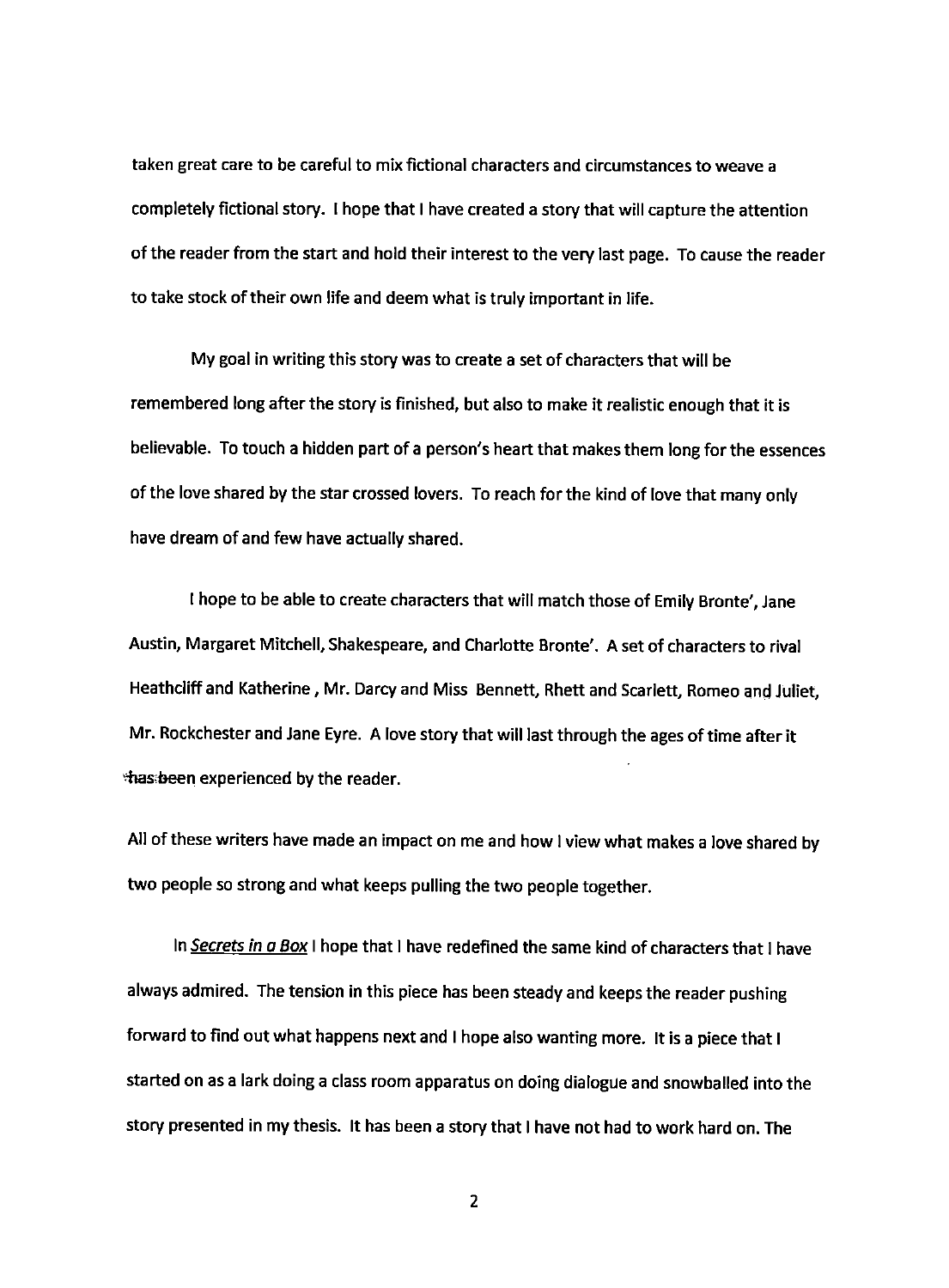taken great care to be careful to mix fictional characters and circumstances to weave a completely fictional story. I hope that I have created a story that will capture the attention of the reader from the start and hold their interest to the very last page. To cause the reader to take stock of their own life and deem what is truly important in life.

My goal in writing this story was to create a set of characters that will be remembered long after the story is finished, but also to make it realistic enough that it is believable. To touch a hidden part of a person's heart that makes them long for the essences of the love shared by the star crossed lovers. To reach for the kind of love that many only have dream of and few have actually shared.

I hope to be able to create characters that will match those of Emily Bronte', Jane Austin, Margaret Mitchell, Shakespeare, and Charlotte Bronte'. A set of characters to rival Heathcliff and Katherine, Mr. Darcy and Miss Bennett, Rhett and Scarlett, Romeo and Juliet, Mr. Rockchester and Jane Eyre. A love story that **will** last through the ages of time after it thas: been experienced by the reader.

All of these writers have made an impact on me and how I view what makes a love shared by two people so strong and what keeps pulling the two people together.

In Secrets in a Box I hope that I have redefined the same kind of characters that I have always admired. The tension in this piece has been steady and keeps the reader pushing forward to find out what happens next and I hope also wanting more. It is a piece that I started on as a lark doing a class room apparatus on doing dialogue and snowballed into the story presented in my thesis. It has been a story that I have not had to work hard on. The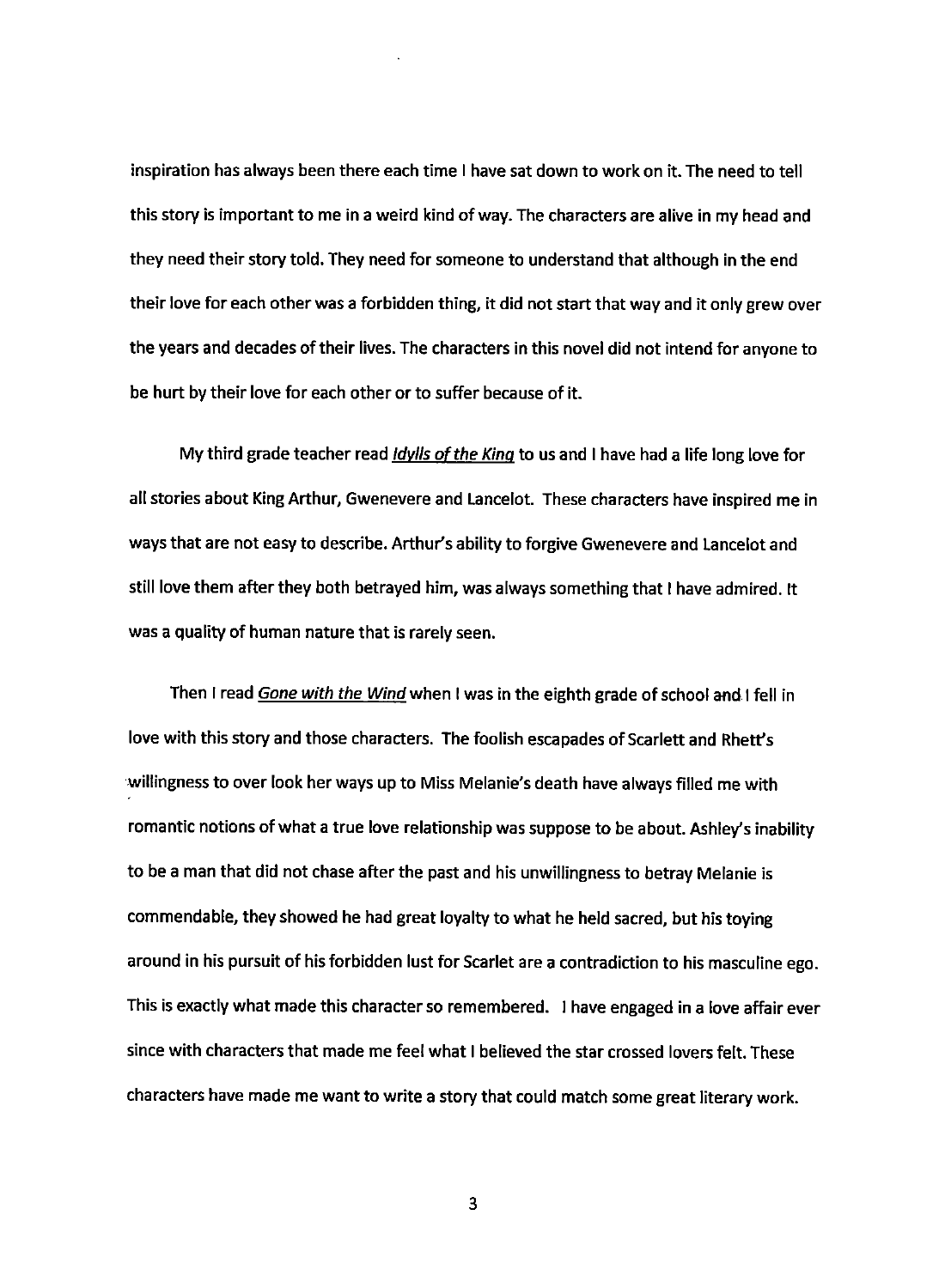inspiration has always been there each time I have sat down to work on it. The need to tell this story is important to me in a weird kind of way. The characters are alive in my head and they need their story told. They need for someone to understand that although in the end their love for each other was a forbidden thing, it did not start that way and it only grew over the years and decades of their lives. The characters in this novel did not intend for anyone to be hurt by their love for each other or to suffer because of it.

My third grade teacher read *Idylls of the King* to us and I have had a life long love for all stories about King Arthur, Gwenevere and Lancelot. These characters have inspired me in ways that are not easy to describe. Arthur's ability to forgive Gwenevere and Lancelot and still love them after they both betrayed him, was always something that I have admired. It was a quality of human nature that is rarely seen.

Then I read *Gone with the Wind* when I was in the eighth grade of school and I fell in love with this story and those characters. The foolish escapades of Scarlett and Rhett's willingness to over look her ways up to Miss Melanie's death have always filled me with romantic notions of what a true love relationship was suppose to be about. Ashley's inability to be a man that did not chase after the past and his unwillingness to betray Melanie is commendable, they showed he had great loyalty to what he held sacred, but his toying around in his pursuit of his forbidden lust for Scarlet are a contradiction to his masculine ego. This is exactly what made this character so remembered. I have engaged in a love affair ever since with characters that made me feel what I believed the star crossed lovers felt. These characters have made me want to write a story that could match some great literary work.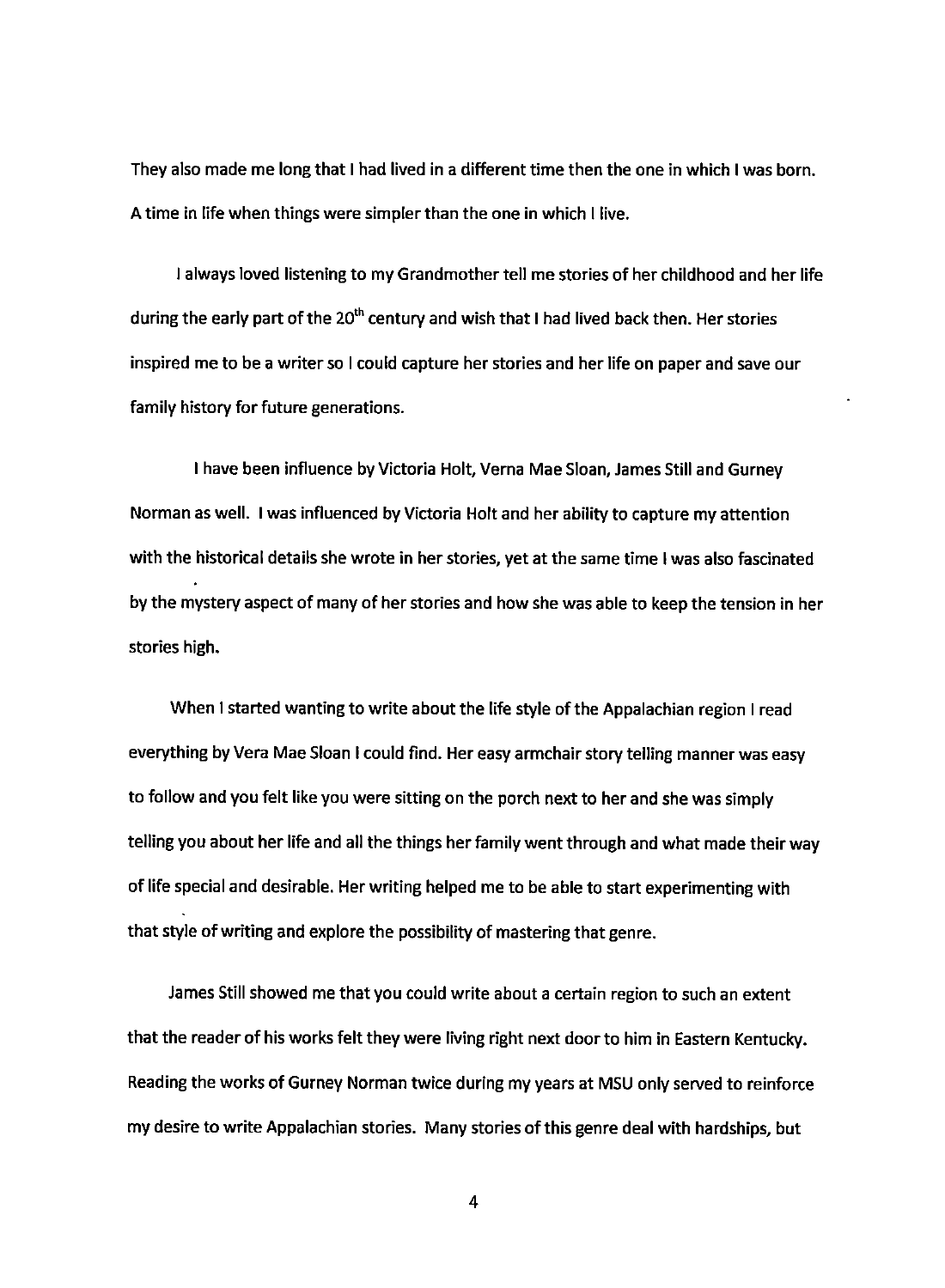They also made me long that I had lived in a different time then the one in which I was born. A time in life when things were simpler than the one in which I live.

I always loved listening to my Grandmother tell me stories of her childhood and her life during the early part of the  $20<sup>th</sup>$  century and wish that I had lived back then. Her stories inspired me to be a writer so I could capture her stories and her life on paper and save our family history for future generations.

I have been influence by Victoria Holt, Verna Mae Sloan, James Still and Gurney Norman as well. I was influenced by Victoria Holt and her ability to capture my attention with the historical details she wrote in her stories, yet at the same time I was also fascinated by the mystery aspect of many of her stories and how she was able to keep the tension in her stories high.

When I started wanting to write about the life style of the Appalachian region I read everything by Vera Mae Sloan I could find. Her easy armchair story telling manner was easy to follow and you felt like you were sitting on the porch next to her and she was simply telling you about her life and all the things her family went through and what made their way of life special and desirable. Her writing helped me to be able to start experimenting with that style of writing and explore the possibility of mastering that genre.

James Still showed me that you could write about a certain region to such an extent that the reader of his works felt they were living right next door to him in Eastern Kentucky. Reading the works of Gurney Norman twice during my years at MSU only served to reinforce my desire to write Appalachian stories. Many stories of this genre deal with hardships, but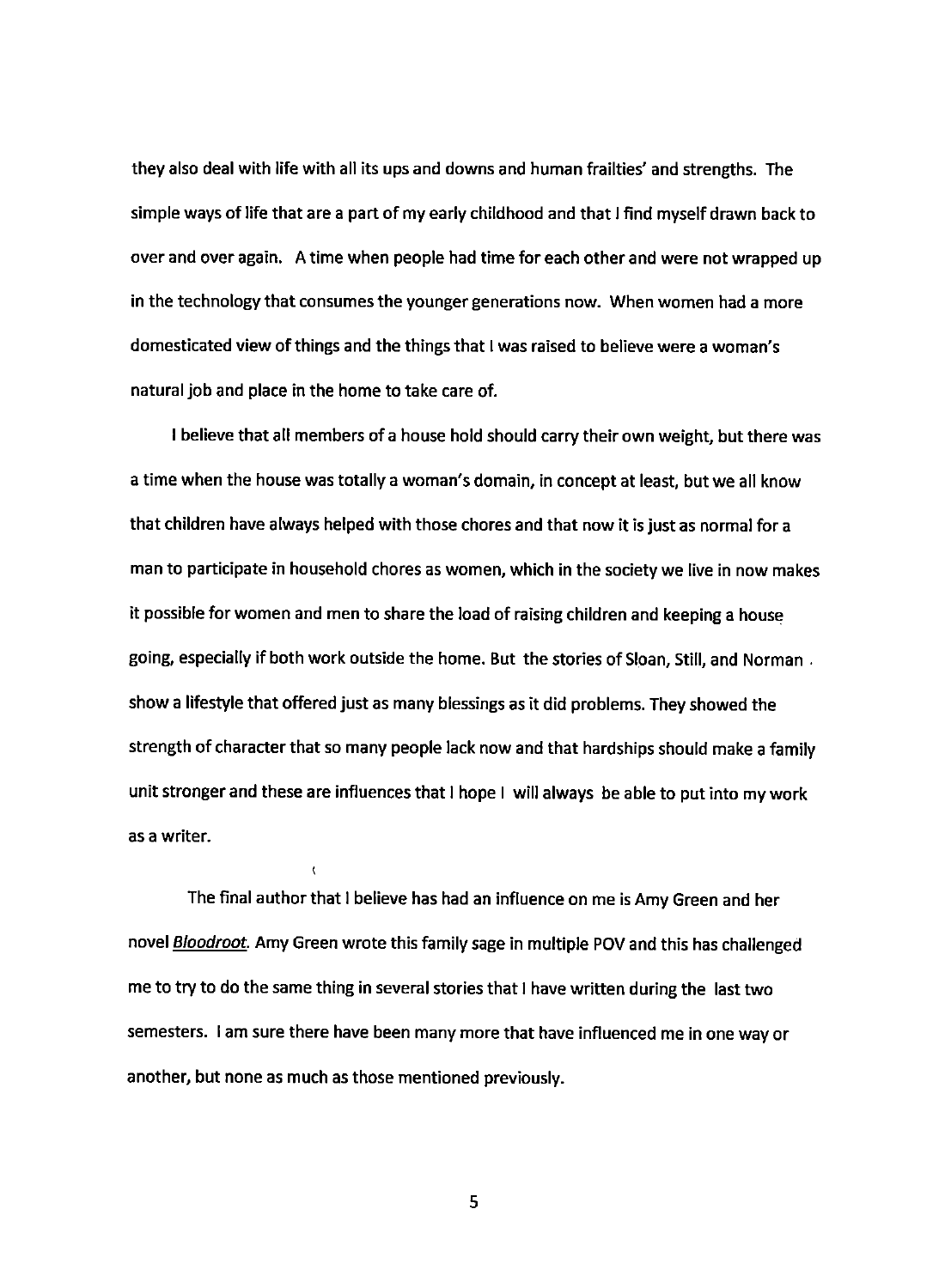they also deal with life with all its ups and downs and human frailties' and strengths. The simple ways of life that are a part of my early childhood and that I find myself drawn back to over and over again. A time when people had time for each other and were not wrapped up in the technology that consumes the younger generations now. When women had a more domesticated view of things and the things that I was raised to believe were a woman's natural job and place in the home to take care of.

I believe that all members of a house hold should carry their own weight, but there was a time when the house was totally a woman's domain, in concept at least, but we all know that children have always helped with those chores and that now it is just as normal for a man to participate in household chores as women, which in the society we live in now makes it possible for women and men to share the load of raising children and keeping a house going, especially if both work outside the home. But the stories of Sloan, Still, and Norman. show a lifestyle that offered just as many blessings as it did problems. They showed the strength of character that so many people lack now and that hardships should make a family unit stronger and these are influences that I hope I will always be able to put into my work as a writer.

The final author that I believe has had an influence on me is Amy Green and her novel **Bloodroot**. Amy Green wrote this family sage in multiple POV and this has challenged me to try to do the same thing in several stories that I have written during the last two semesters. I am sure there have been many more that have influenced me in one way or another, but none as much as those mentioned previously.

 $\epsilon$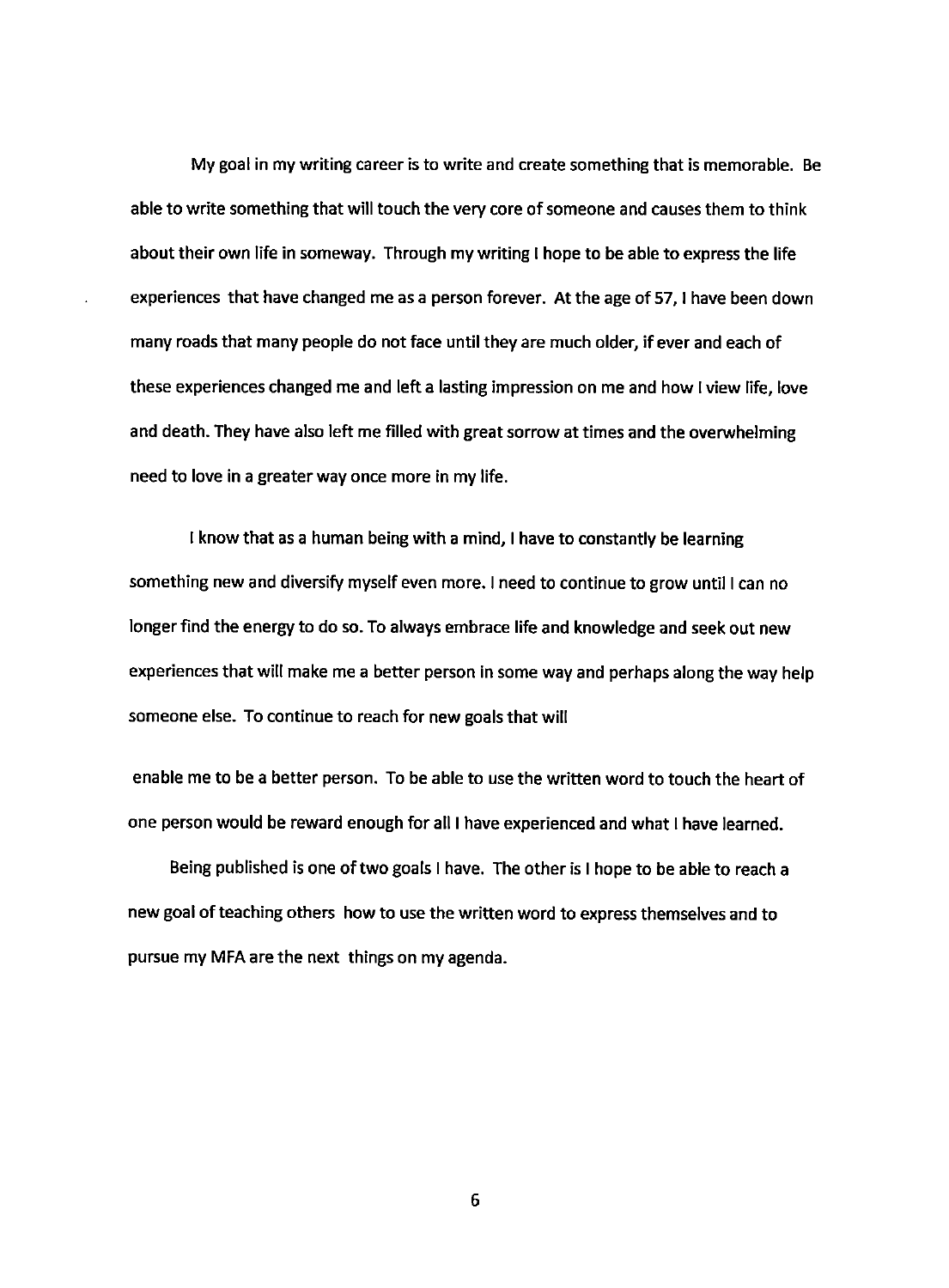My goal in my writing career is to write and create something that is memorable. Be able to write something that will touch the very core of someone and causes them to think about their own life in someway. Through my writing I hope to be able to express the life experiences that have changed me as a person forever. At the age of 57, I have been down many roads that many people do not face until they are much older, if ever and each of these experiences changed me and left a lasting impression on me and how I view life, love and death. They have also left me filled with great sorrow at times and the overwhelming need to love in a greater way once more in my life.

I know that as a human being with a mind, I have to constantly be learning something new and diversify myself even more. I need to continue to grow until I can no longer find the energy to do so. To always embrace life and knowledge and seek out new experiences that will make me a better person in some way and perhaps along the way help someone else. To continue to reach for new goals that will

enable me to be a better person. To be able to use the written word to touch the heart of one person would be reward enough for all I have experienced and what I have learned.

Being published is one of two goals I have. The other is I hope to be able to reach a new goal of teaching others how to use the written word to express themselves and to pursue my MFA are the next things on my agenda.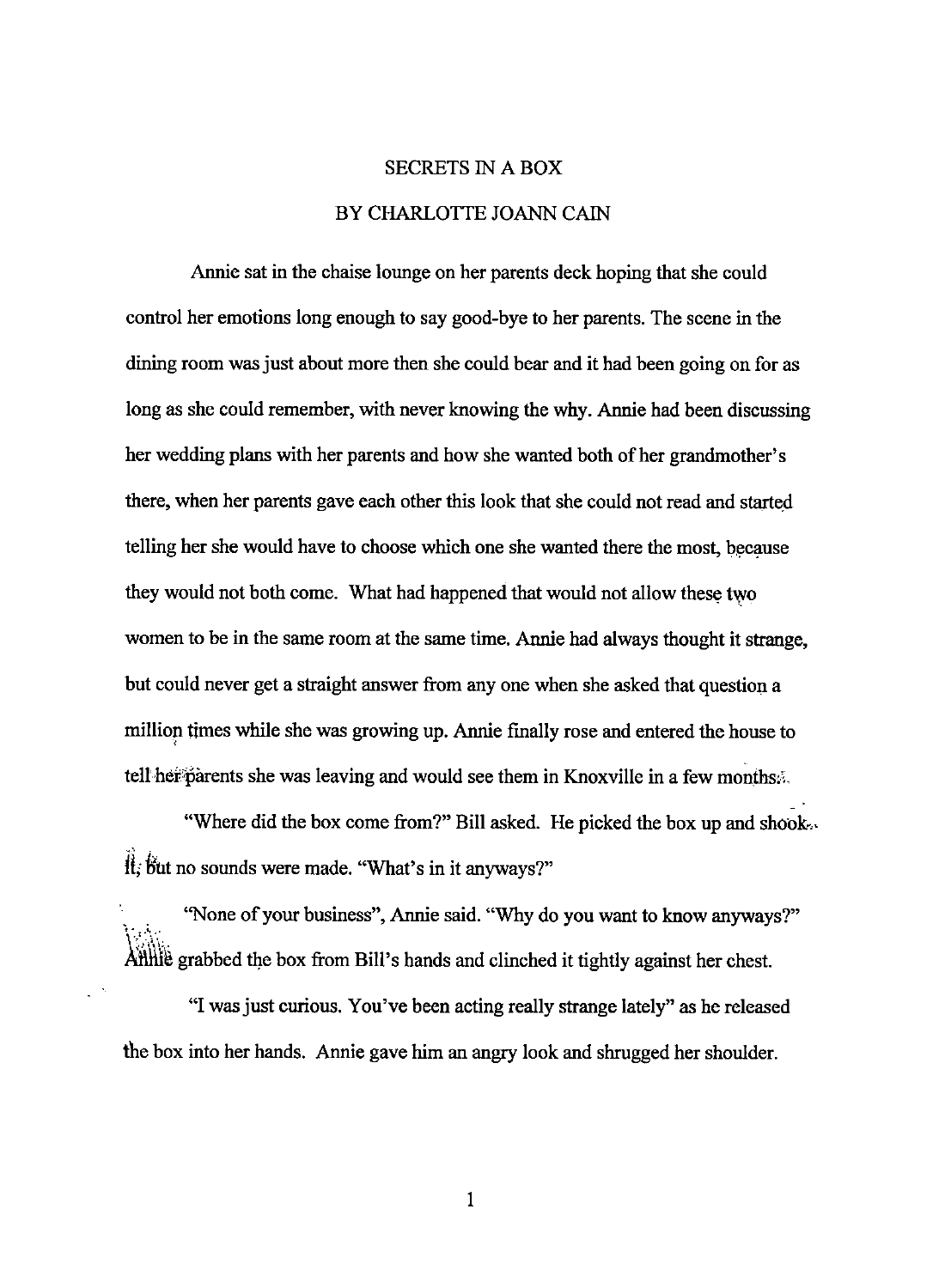# SECRETS IN A BOX BY CHARLOTTE JOANN CAIN

Annie sat in the chaise lounge on her parents deck hoping that she could control her emotions long enough to say good-bye to her parents. The scene in the dining room was just about more then she could bear and it had been going on for as long as she could remember, with never knowing the why. Annie had been discussing her wedding plans with her parents and how she wanted both of her grandmother's there, when her parents gave each other this look that she could not read and starte\_d telling her she would have to choose which one she wanted there the most, because they would not both come. What had happened that would not allow these two women to be in the same room at the same time. Annie had always thought it strange, but could never get a straight answer from any one when she asked that question a million times while she was growing up. Annie finally rose and entered the house to tell her parents she was leaving and would see them in Knoxville in a few months.

"Where did the box come from?" Bill asked. He picked the box up and shook...  $\hat{H}$ ; but no sounds were made. "What's in it anyways?"

"None of your business", Annie said. "Why do you want to know anyways?"  $\rm V\ll 1$ Atilitie grabbed the box from Bill's hands and clinched it tightly against her chest.

"I was just curious. You've been acting really strange lately" as he released the box into her hands. Annie gave him an angry look and shrugged her shoulder.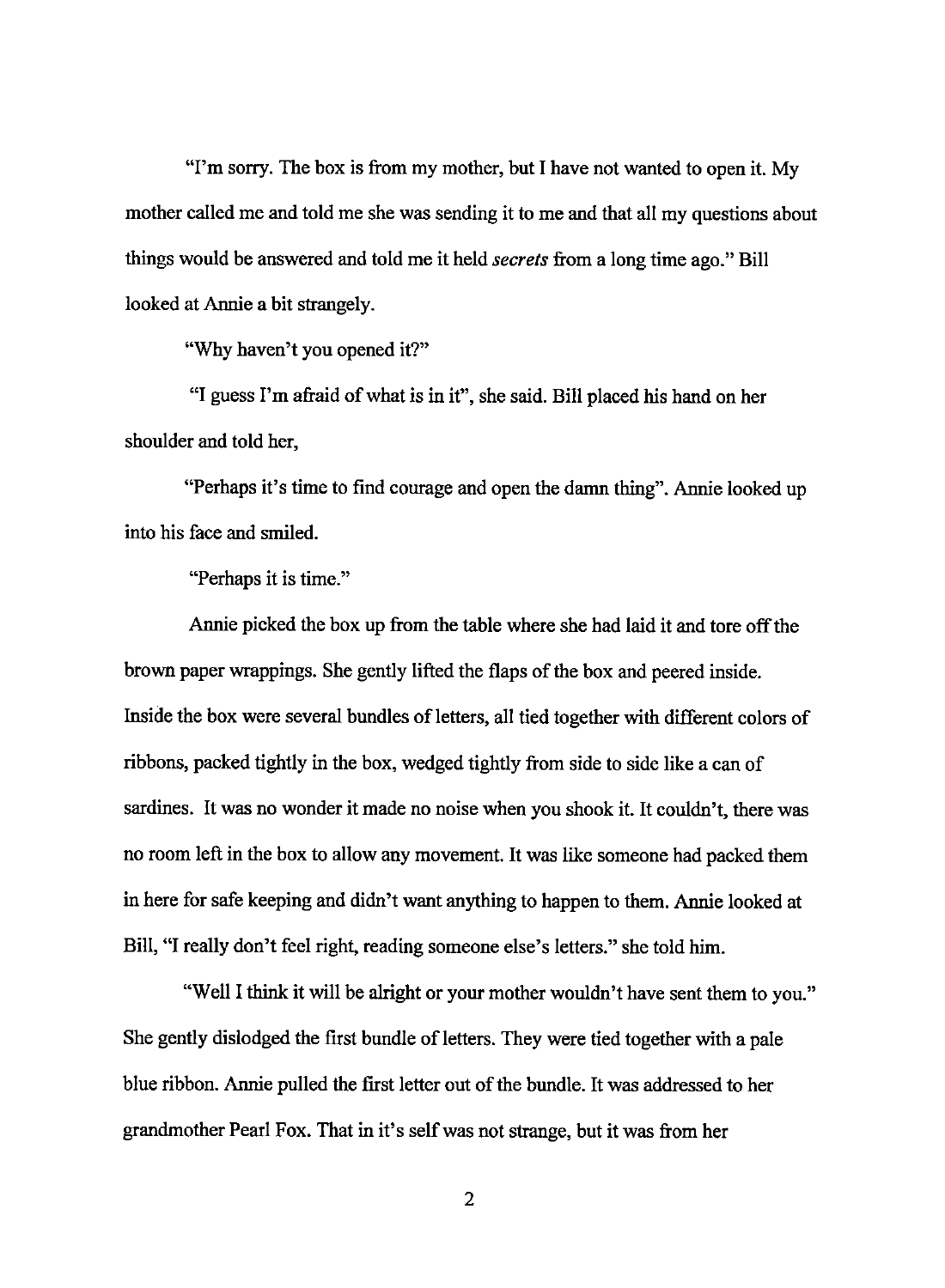"I'm sorry. The box is from my mother, but I have not wanted to open it. My mother called me and told me she was sending it to me and that all my questions about things would be answered and told me it held *secrets* from a long time ago." Bill looked at Annie a bit strangely.

"Why haven't you opened it?"

"I guess I'm afraid of what is in it", she said. Bill placed his hand on her shoulder and told her,

"Perhaps it's time to find courage and open the damn thing". Annie looked up into his face and smiled.

"Perhaps it is time."

Annie picked the box up from the table where she had laid it and tore off the brown paper wrappings. She gently lifted the flaps of the box and peered inside. Inside the box were several bundles of letters, all tied together with different colors of ribbons, packed tightly in the box, wedged tightly from side to side like a can of sardines. It was no wonder it made no noise when you shook it. It couldn't, there was no room left in the box to allow any movement. It was like someone had packed them in here for safe keeping and didn't want anything to happen to them. Annie looked at Bill, "I really don't feel right, reading someone else's letters." she told him.

"Well I think it will be alright or your mother wouldn't have sent them to you." She gently dislodged the first bundle of letters. They were tied together with a pale blue ribbon. Annie pulled the first letter out of the bundle. It was addressed to her grandmother Pearl Fox. That in it's self was not strange, but it was from her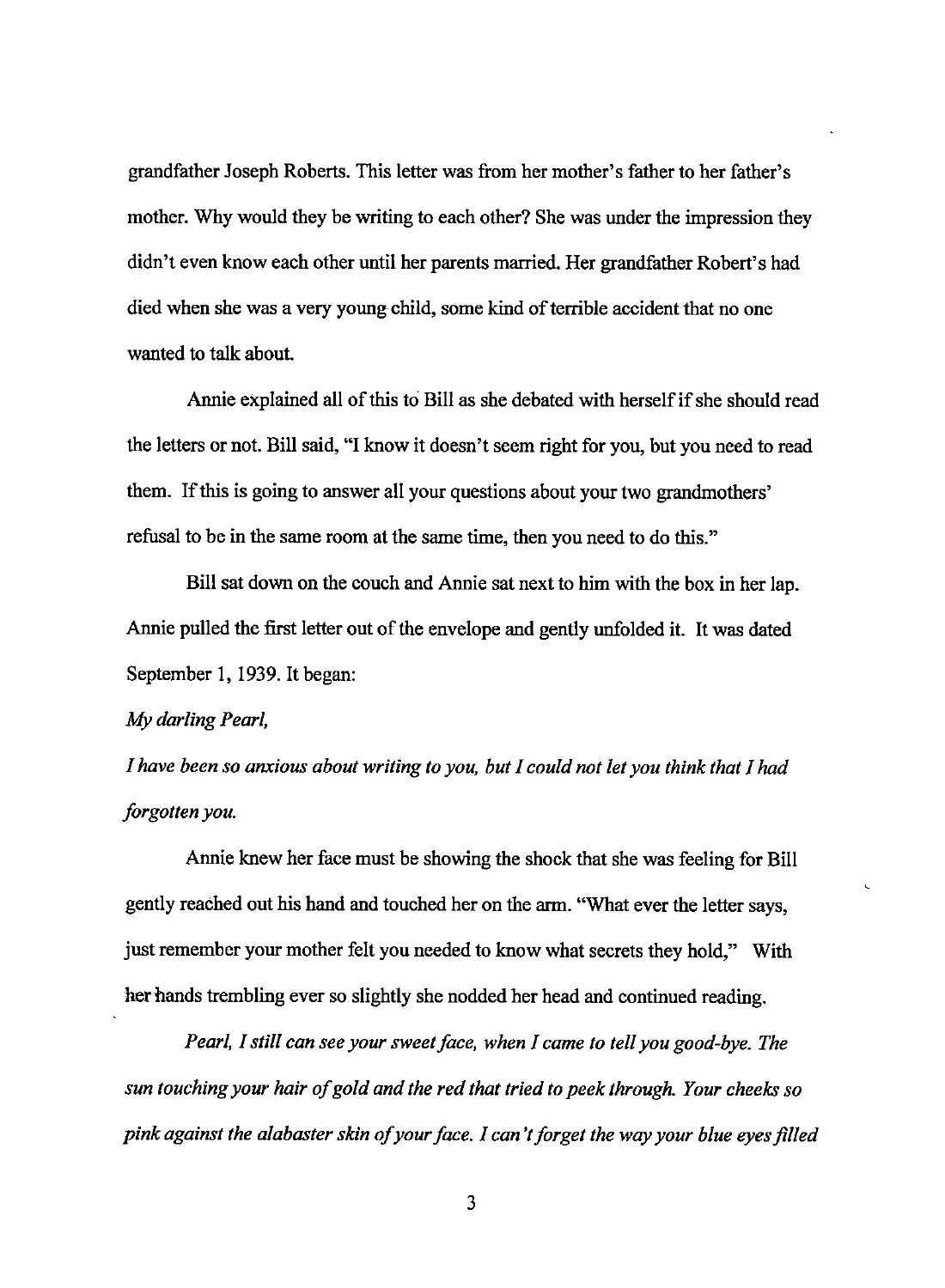grandfather Joseph Roberts. This letter was from her mother's father to her father's mother. Why would they be writing to each other? She was under the impression they didn't even know each other until her parents married. Her grandfather Robert's had died when she was a very young-child, some kind of terrible accident that no one wanted to talk about.

Annie explained all of this to Bill as she debated with herself if she should read the letters or not. Bill said, "I know it doesn't seem right for you, but you need to read them. If this is going to answer all your questions about your two grandmothers' refusal to be in the same room at the same time, then you need to do this."

Bill sat down on the couch and Annie sat next to him with the box in her lap. Annie pulled the first letter out of the envelope and gently unfolded it. It was dated September 1, 1939. It began:

#### *My darling Pearl,*

*I have been so anxious about writing to you, but I could not let you think that I had forgotten you.* 

Annie knew her face must be showing the shock that she was feeling for Bill gently reached out his hand and touched her on the arm. "What ever the letter says, just remember your mother felt you needed to know what secrets they hold," With her hands trembling ever so slightly she nodded her head and continued reading.

*Pearl, I still can see your sweet face, when I came to tell you good-bye. The sun touching your hair of gold and the red that tried to peek through. Your cheeks so pink against the alabaster skin of your face. I can't forget the way your blue eyes filled*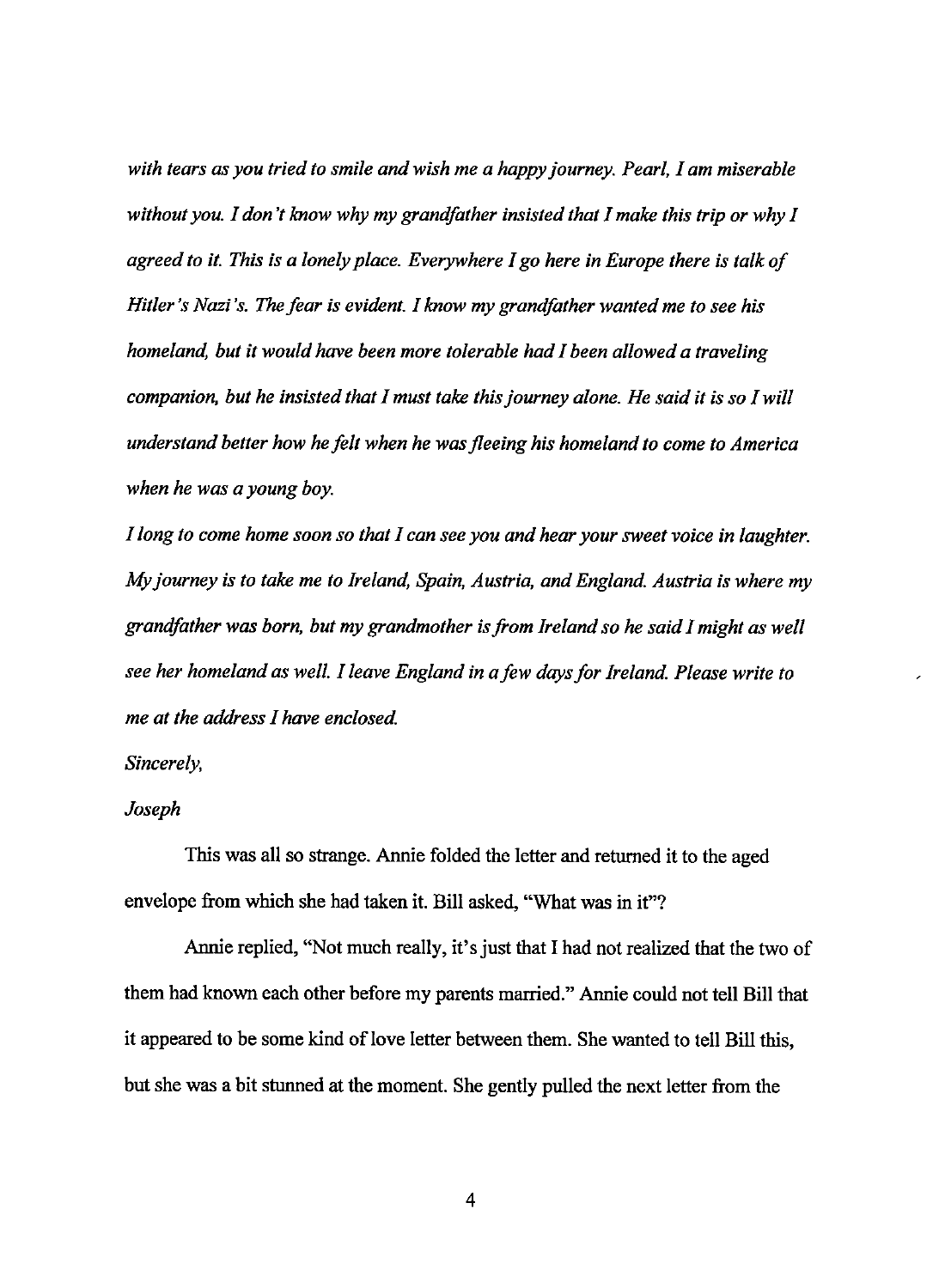*with tears as you tried to smile and wish me a happy journey. Pearl, I am miserable without you. I don't know why my grandfather insisted that I make this trip or why I agreed to it. This is a lonely place. Everywhere I go here in Europe there is talk of Hitler's Nazi's. The fear is evident. I know my grandfather wanted me to see his homeland, but it would have been more tolerable had I been allowed a traveling companion, but he insisted that I must take this journey alone. He said it is so I will understand better how he felt when he was fleeing his homeland to come to America when he was a young boy.* 

*I long to come home soon so that I can see you and hear your sweet voice in laughter. My journey is to take me to Ireland, Spain, Austria, and England. Austria is where my grandfather was born, but my grandmother is from Ireland so he said I might as well see her homeland as well. I leave England in a few days for Ireland. Please write to me at the address I have enclosed.* 

## *Sincerely,*

## *Joseph*

This was all so strange. Annie folded the letter and returned it to the aged envelope from which she had taken it. Bill asked, "What was in it"?

Annie replied, "Not much really, it's just that I had not realized that the two of them had known each other before my parents married." Annie could not tell Bill that it appeared to be some kind of love letter between them. She wanted to tell Bill this, but she was a bit stunned at the moment. She gently pulled the next Jetter from the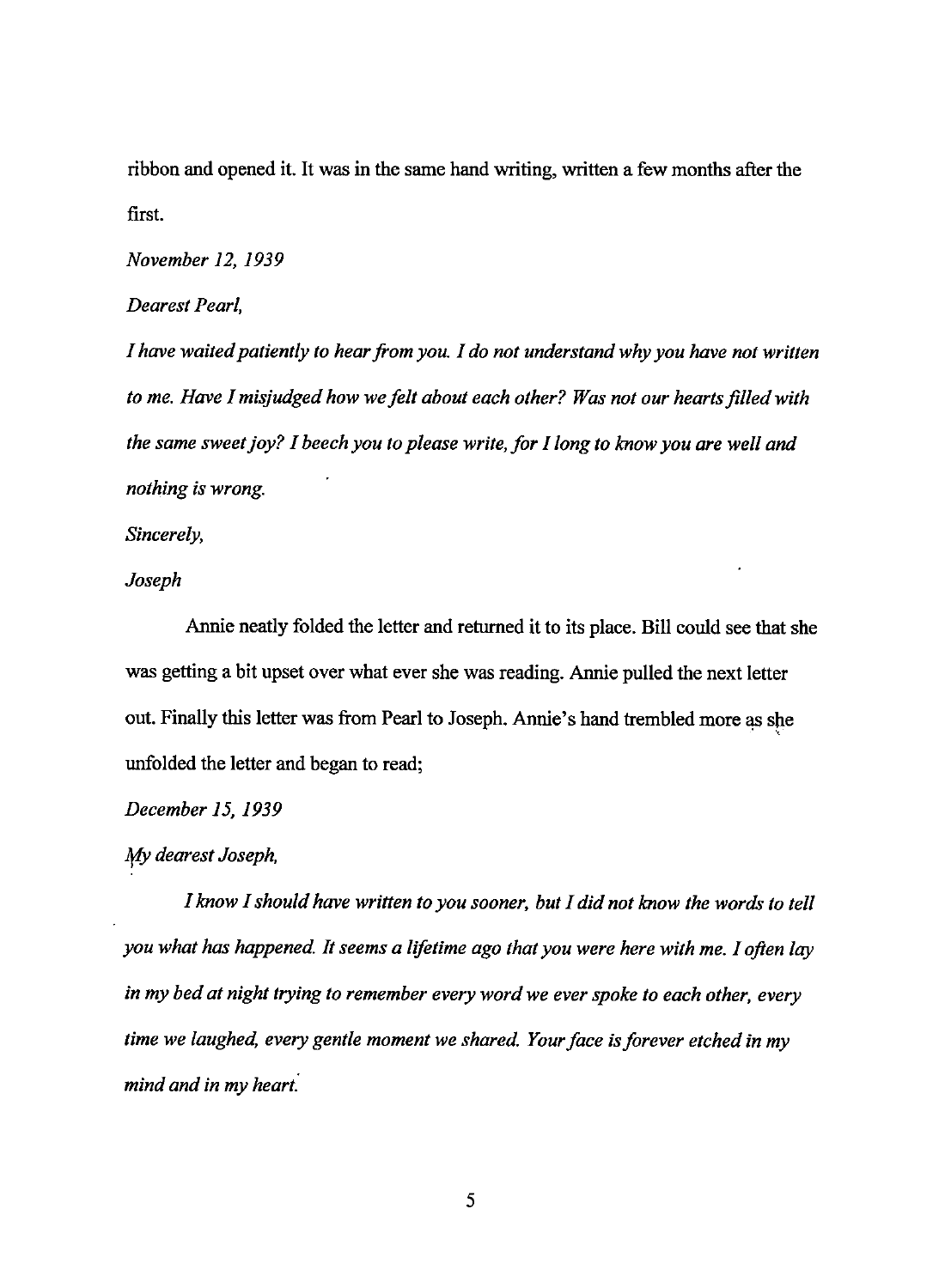ribbon and opened it. It was in the same hand writing, written a few months after the first.

*November 12, 1939* 

*Dearest Pearl,* 

*I have waited patiently to hear from you. I do not understand why you have not written to me. Have I misjudged how we felt about each other? Was not our hearts filled with the same sweet joy? I beech you to please write, for I long to know you are well and nothing is wrong.* 

*Sincerely,* 

*Joseph* 

Annie neatly folded the letter and returned it to its place. Bill could see that she was getting a bit upset over what ever she was reading. Annie pulled the next letter out. Finally this letter was from Pearl to Joseph. Annie's hand trembled more as she unfolded the letter and began to read;

*December 15, 1939* 

*My dearest Joseph,* 

*I know I should have written to you sooner, but I did not know the words to tell you what has happened. It seems a lifetime ago that you were here with me. I often lay in my bed at night trying to remember every word we ever spoke to each other, every time we laughed, every gentle moment we shared. Your face is forever etched in my mind and in my heart.*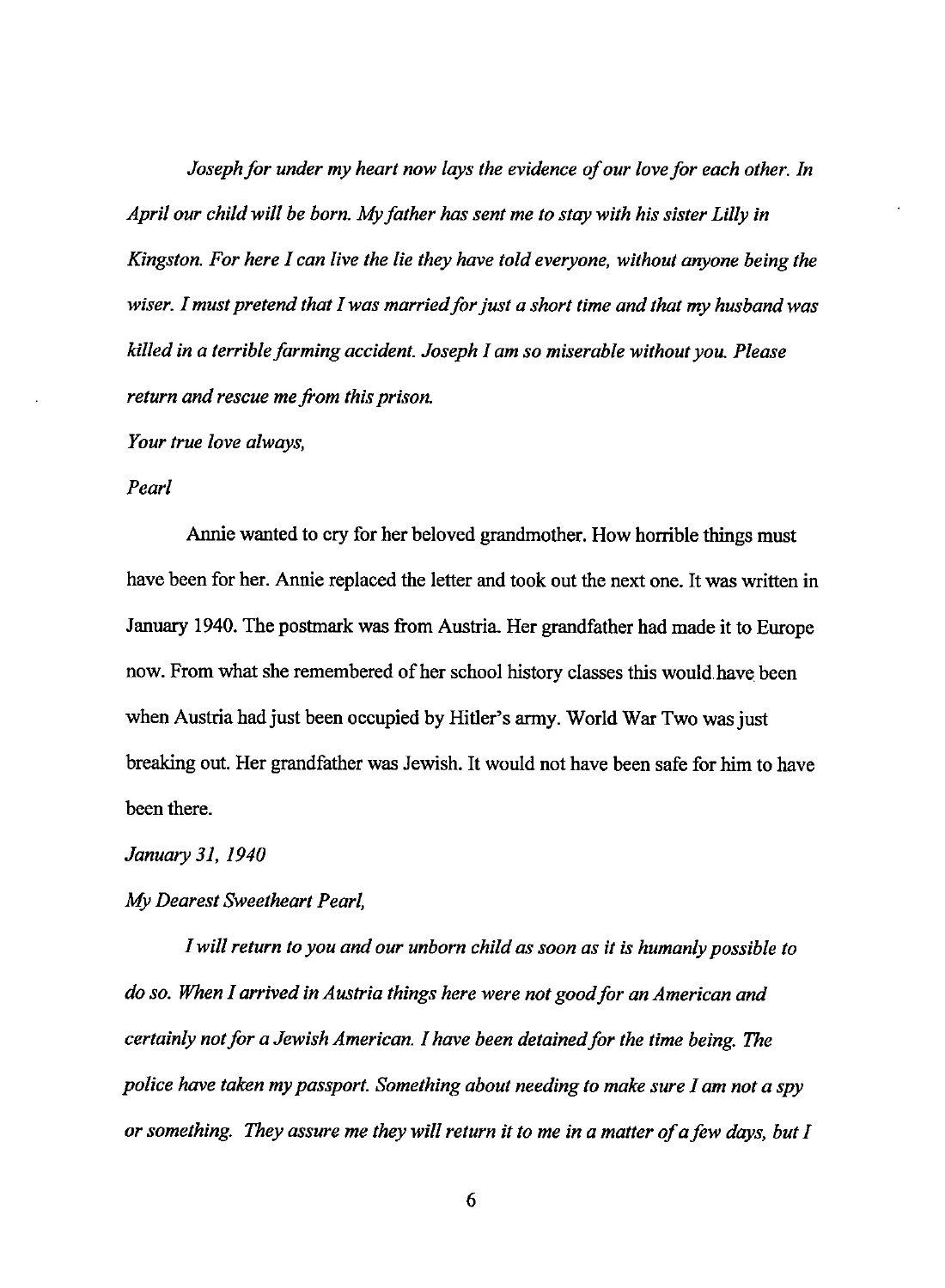*Joseph for under my heart now lays the evidence of our love for each other. In April our child will be born. My father has sent me to stay with his sister Lilly in Kingston. For here I can live the lie they have told everyone, without anyone being the wiser. I must pretend that I was married for just a short time and that my husband was killed in a terrible farming accident. Joseph I am so miserable without you. Please return and rescue me from this prison.* 

*Your true love always,* 

#### *Pearl*

Annie wanted to cry for her beloved grandmother. How horrible things must have been for her. Annie replaced the letter and took out the next one. It was written in January 1940. The postmark was from Austria. Her grandfather had made it to Europe now. From what she remembered of her school history classes this would have been when Austria had just been occupied by Hitler's army. World War Two was just breaking out. Her grandfather was Jewish. It would not have been safe for him to have been there.

*January 31, 1940* 

*My Dearest Sweetheart Pearl,* 

*I will return to you and our unborn child as soon as it is humanly possible to do so. When I arrived in Austria things here were not good for an American and certainly not for a Jewish American. 1 have been detained for the time being. The police have taken my passport. Something about needing to make sure I am not a spy or something. They assure me they will return it to me in a matter of a few days, but I*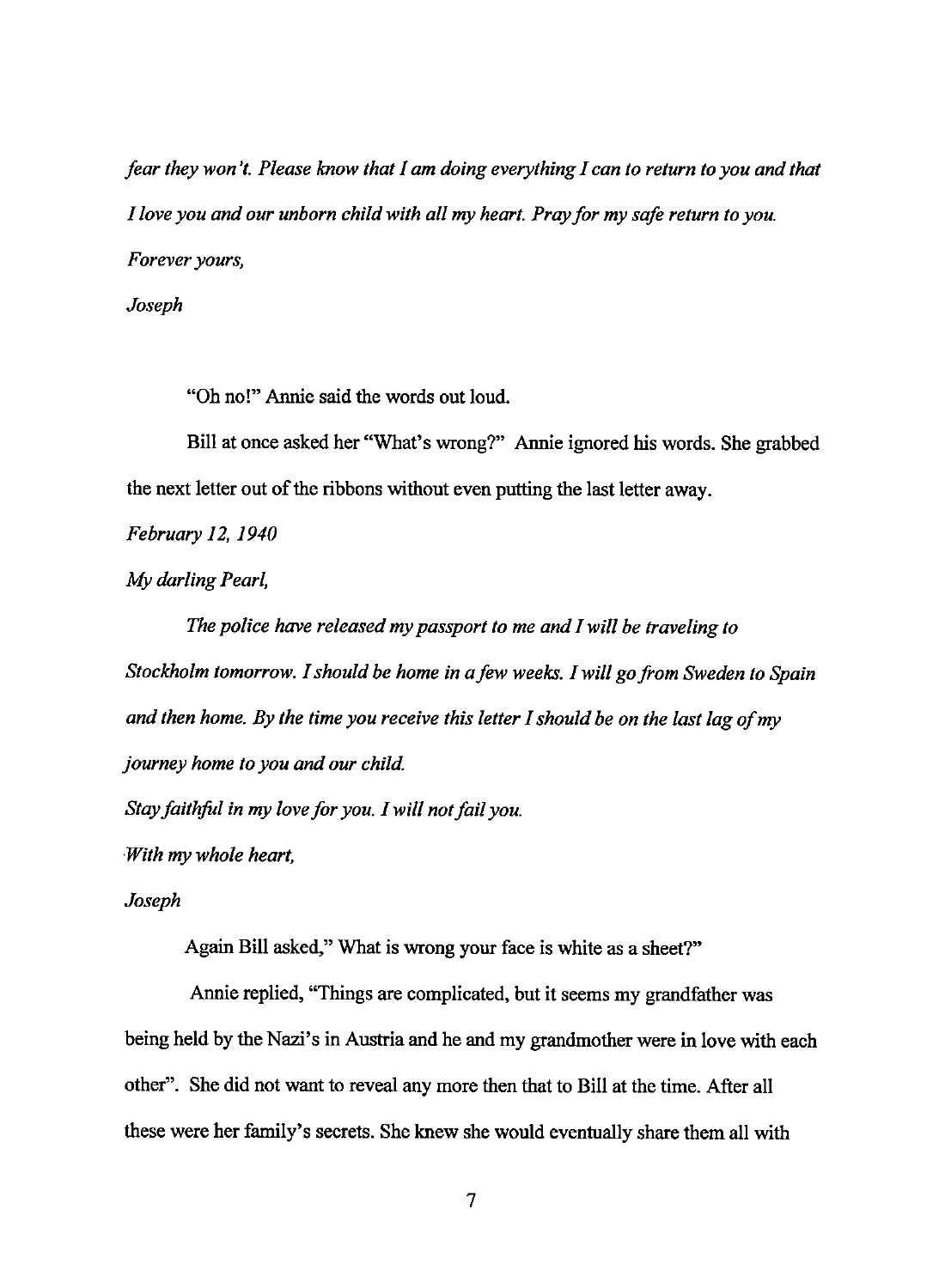*fear they won't. Please know that I am doing everything I can to return to you and that I love you and our unborn child with all my heart. Pray for my safe return to you. Forever yours,* 

*Joseph* 

"Oh no!" Annie said the words out loud.

Bill at once asked her "What's wrong?" Annie ignored his words. She grabbed the next letter out of the ribbons without even putting the last letter away.

*February 12, 1940* 

*My darling Pearl,* 

*The police have released my passport to me and I will be traveling to Stockholm tomorrow. I should be home in a few weeks. I will go from Sweden to Spain and then home. By the time you receive this letter I should be on the last lag of my journey home to you and our child.* 

*Stay faithful in my love for you. I will not fail you.* 

*With my whole heart,* 

*Joseph* 

Again Bill asked," What is wrong your face is white as a sheet?"

Annie replied, "Things are complicated, but it seems my grandfather was being held by the Nazi's in Austria and he and my grandmother were in love with each other". She did not want to reveal any more then that to Bill at the time. After all these were her family's secrets. She knew she would eventually share them all with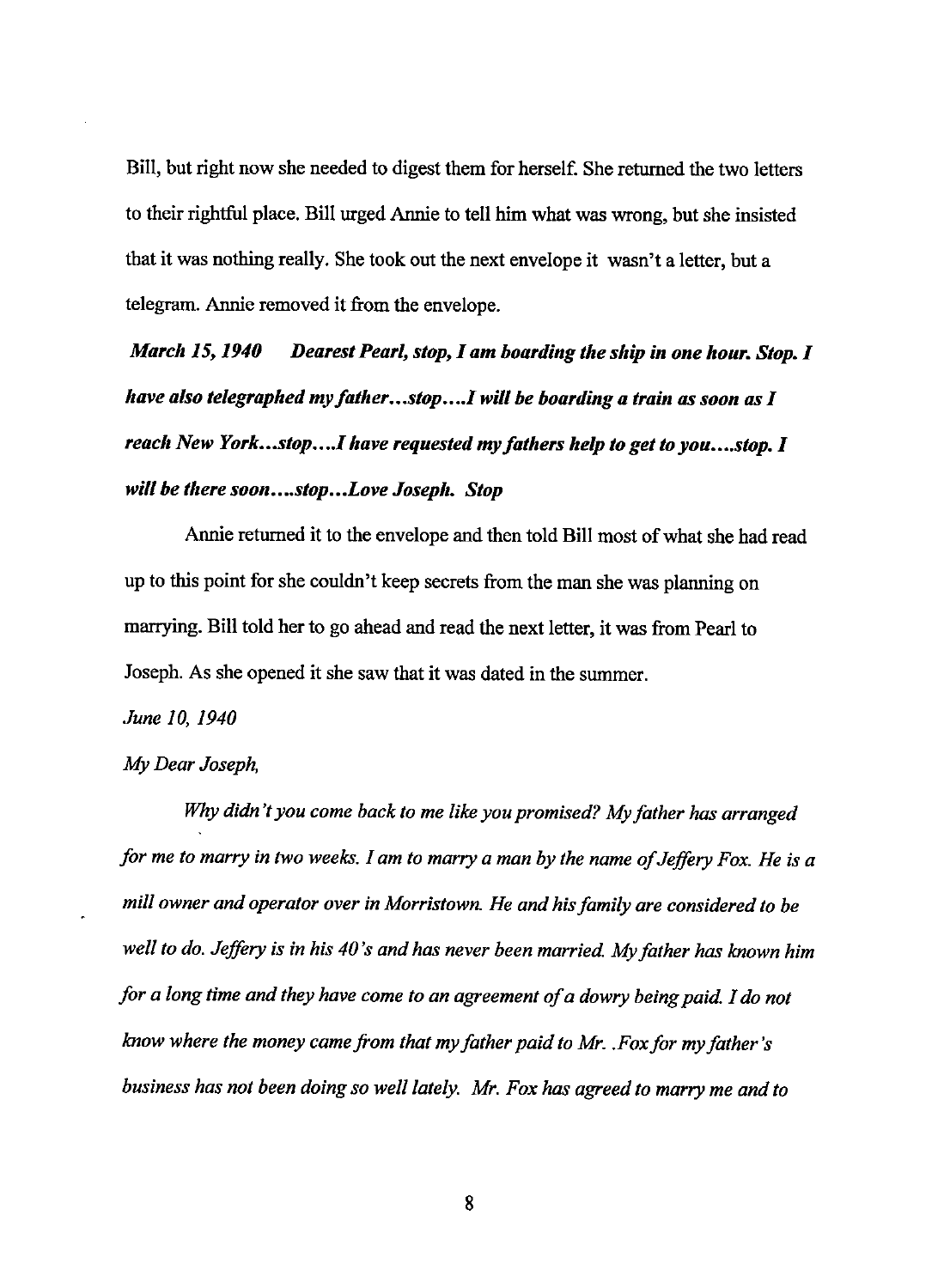Bill, but right now she needed to digest them for herself. She returned the two letters to their rightful place. Bill urged Annie to tell him what was wrong, but she insisted that it was nothing really. She took out the next envelope it wasn't a letter, but a telegram. Annie removed it from the envelope.

*March 15, 1940 Dearest Pearl, stop, I am boarding the ship in one hour. Stop. I have also telegraphed my father...stop....I will be boarding a train as soon as I reach New York...stop....I have requested my fathers help to get to you....stop. I* will be there soon....stop...Love Joseph. Stop

Annie returned it to the envelope and then told Bill most of what she had read up to this point for she couldn't keep secrets from the man she was planning on marrying. Bill told her to go ahead and read the next letter, it was from Pearl to Joseph. As she opened it she saw that it was dated in the summer.

#### *June* JO, *1940*

#### *My Dear Joseph,*

*Why didn't you come back to me like you promised? My father has arranged for me to marry in two weeks. I am to marry a man by the name of Jeffery Fox. He is a mill owner and operator over in Morristown. He and his family are considered to be well to do. Jeffery is in his 40's and has never been married. My father has known him for a long time and they have come to an agreement of a dowry being paid. I do not know where the money came from that my father paid to Mr .. Fox for my father's business has not been doing so well lately. Mr. Fox has agreed to marry me and to*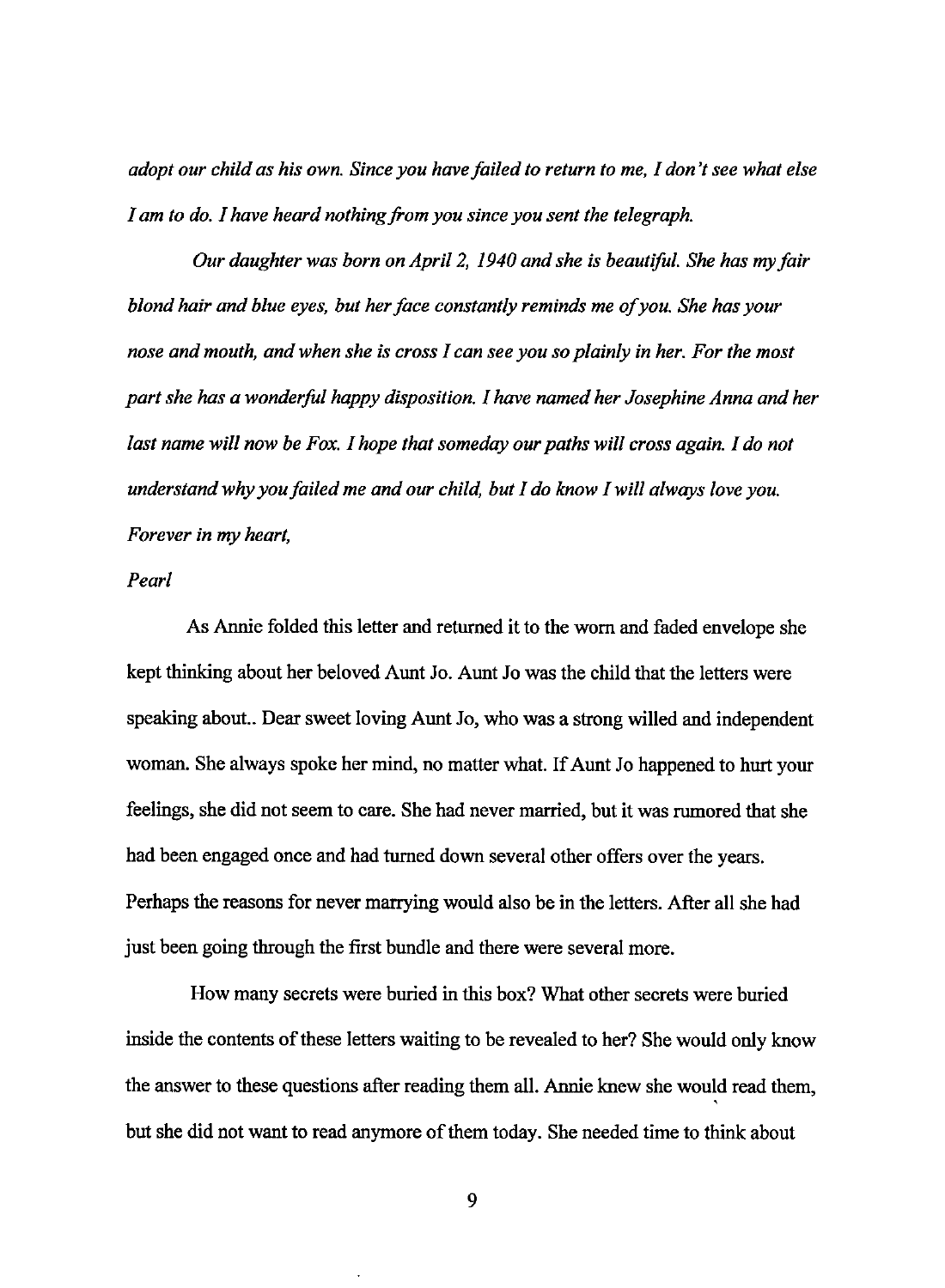*adopt our child as his own. Since you have failed to return to me, I don't see what else I am to do. I have heard nothing from you since you sent the telegraph.* 

*Our daughter was born on April 2, 1940 and she is beautiful. She has my fair blond hair and blue eyes, but her face constantly reminds me of you. She has your nose and mouth, and when she is cross I can see you so plainly in her. For the most part she has a wonderful happy disposition. I have named her Josephine Anna and her last name will now be Fox. I hope that someday our paths will cross again. I do not understand why you failed me and our child, but I do know I will always love you. Forever in my heart,* 

## *Pearl*

As Annie folded this letter and returned it to the worn and faded envelope she kept thinking about her beloved Aunt Jo. Aunt Jo was the child that the letters were speaking about.. Dear sweet loving Aunt Jo, who was a strong willed and independent woman. She always spoke her mind, no matter what. If Aunt Jo happened to hurt your feelings, she did not seem to care. She had never married, but it was rumored that she had been engaged once and had turned down several other offers over the years. Perhaps the reasons for never marrying would also be in the letters. After all she had just been going through the first bundle and there were several more.

How many secrets were buried in this box? What other secrets were buried inside the contents of these letters waiting to be revealed to her? She would only know the answer to these questions after reading them all. Annie knew she would read them, ' but she did not want to read anymore of them today. She needed time to think about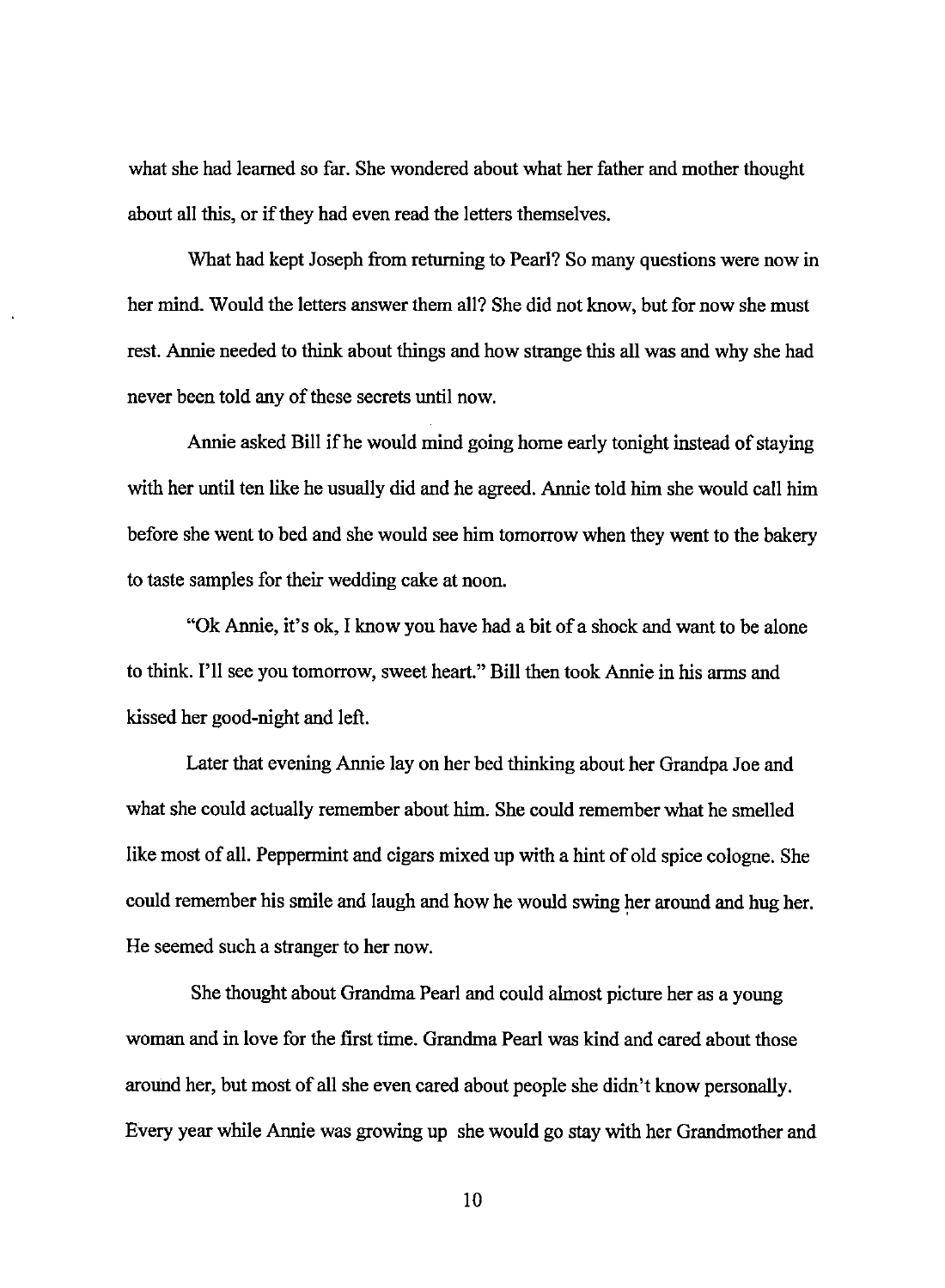what she had learned so far. She wondered about what her father and mother thought about all this, or if they had even read the letters themselves.

What had kept Joseph from returning to Pearl? So many questions were now in her mind. Would the letters answer them all? She did not know, but for now she must rest. Annie needed to think about things and how strange this all was and why she had never been told any of these secrets until now.

Annie asked Bill ifhe would mind going home early tonight instead of staying with her until ten like he usually did and he agreed. Annie told him she would call him before she went to bed and she would see him tomorrow when they went to the bakery to taste samples for their wedding cake at noon.

"Ok Annie, it's ok, I know you have had a bit of a shock and want to be alone to think. I'll see you tomorrow, sweet heart." Bill then took Annie in his arms and kissed her good-night and left.

Later that evening Annie lay on her bed thinking about her Grandpa Joe and what she could actually remember about him. She could remember what he smelled like most of all. Peppermint and cigars mixed up with a hint of old spice cologne. She could remember his smile and laugh and how he would swing her around and hug her. He seemed such a stranger to her now.

She thought about Grandma Pearl and could almost picture her as a young woman and in love for the first time. Grandma Pearl was kind and cared about those around her, but most of all she even cared about people she didn't know personally. Every year while Annie was growing up she would go stay with her Grandmother and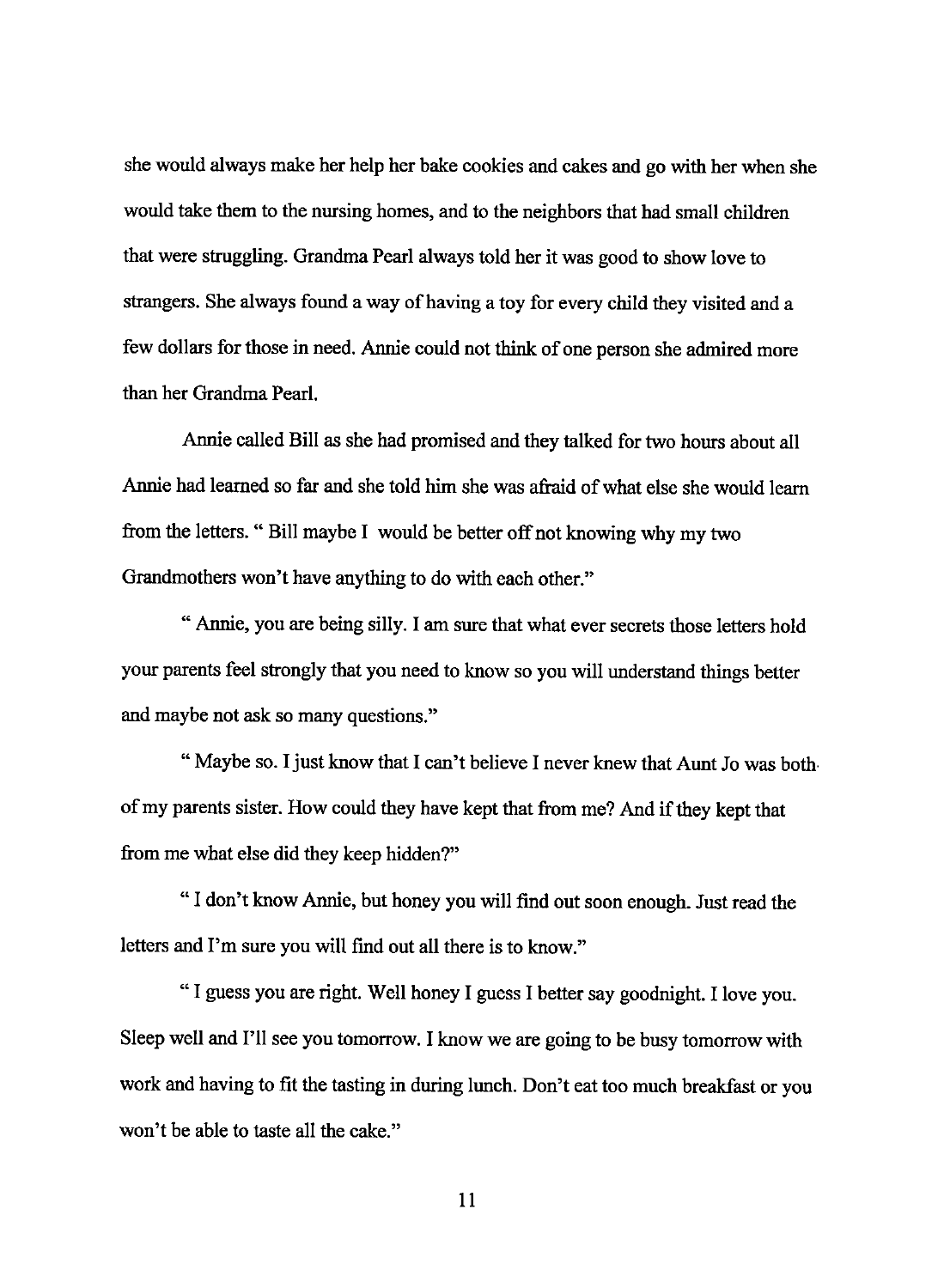she would always make her help her bake cookies and cakes and go with her when she would take them to the nursing homes, and to the neighbors that had small children that were struggling. Grandma Pearl always told her it was good to show love to strangers. She always found a way of having a toy for every child they visited and a few dollars for those in need. Annie could not think of one person she admired more than her Grandma Pearl.

Annie called Bill as she had promised and they talked for two hours about all Annie had learned so far and she told him she was afraid of what else she would learn from the letters. " Bill maybe I would be better off not knowing why my two Grandmothers won't have anything to do with each other."

"Annie, you are being silly. I am sure that what ever secrets those letters hold your parents feel strongly that you need to know so you will understand things better and maybe not ask so many questions."

" Maybe so. I just know that I can't believe I never knew that Aunt Jo was bothof my parents sister. How could they have kept that from me? And if they kept that from me what else did they keep hidden?"

"I don't know Annie, but honey you will find out soon enough. Just read the letters and I'm sure you will find out all there is to know."

" I guess you are right. Well honey I guess I better say goodnight. I love you. Sleep well and I'll see you tomorrow. I know we are going to be busy tomorrow with work and having to fit the tasting in during lunch. Don't eat too much breakfast or you won't be able to taste all the cake."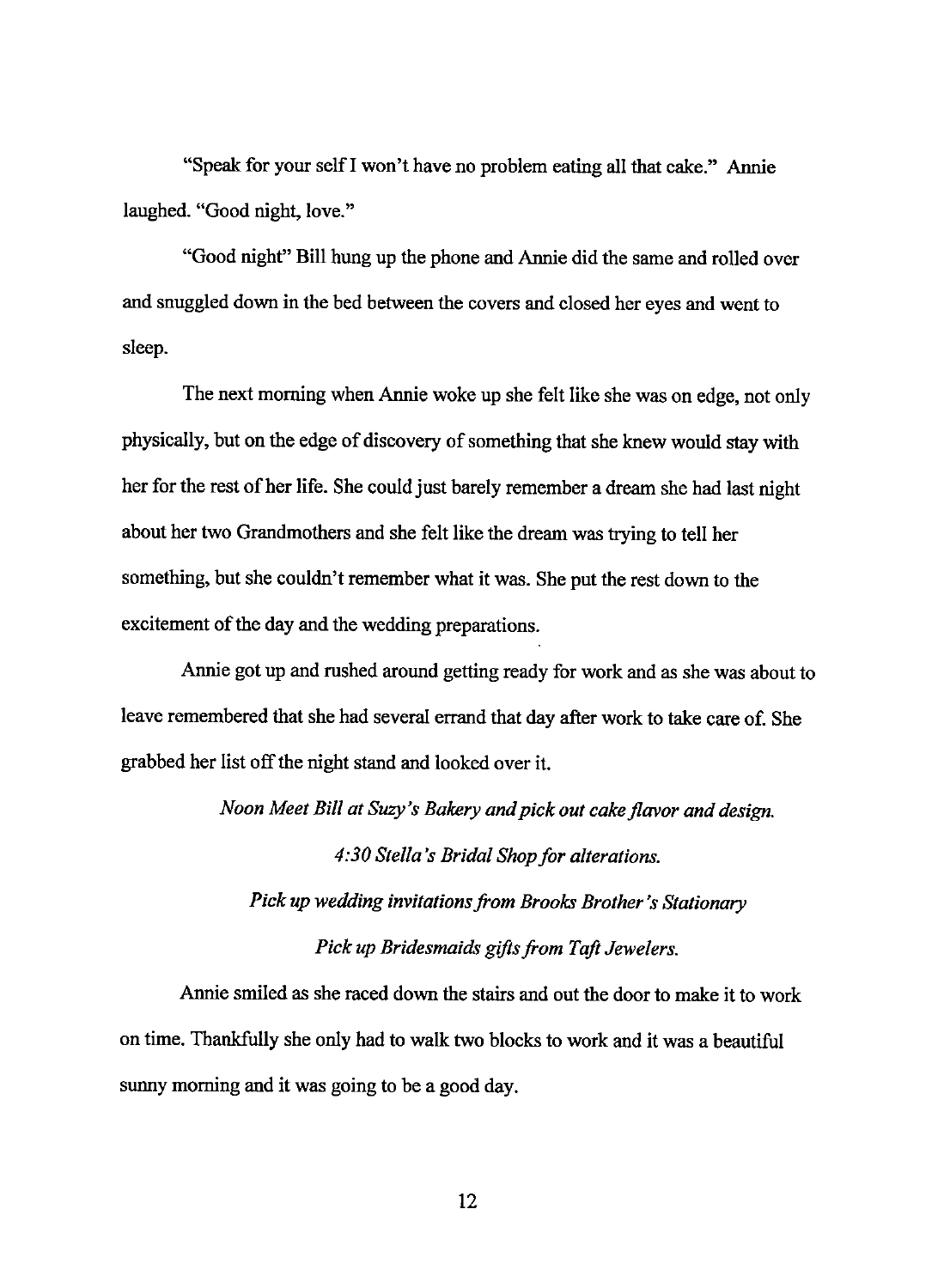"Speak for your selfl won't have no problem eating all that cake." Annie laughed. "Good night, love."

"Good night" Bill hung up the phone and Annie did the same and rolled over and snuggled down in the bed between the covers and closed her eyes and went to sleep.

The next morning when Annie woke up she felt like she was on edge, not only physically, but on the edge of discovery of something that she knew would stay with her for the rest of her life. She could just barely remember a dream she had last night about her two Grandmothers and she felt like the dream was trying to tell her something, but she couldn't remember what it was. She put the rest down to the excitement of the day and the wedding preparations.

Annie got up and rushed around getting ready for work and as she was about to leave remembered that she had several errand that day after work to take care of. She grabbed her list off the night stand and looked over it.

*Noon Meet Bill at Suzy's Bakery and pick out cake flavor and design.* 

*4:30 Stella's Bridal Shop for alterations.* 

*Pick* up *wedding invitations from Brooks Brother's Stationary Pick up Bridesmaids gifts from Taft Jewelers.* 

Annie smiled as she raced down the stairs and out the door to make it to work on time. Thankfully she only had to walk two blocks to work and it was a beautiful sunny morning and it was going to be a good day.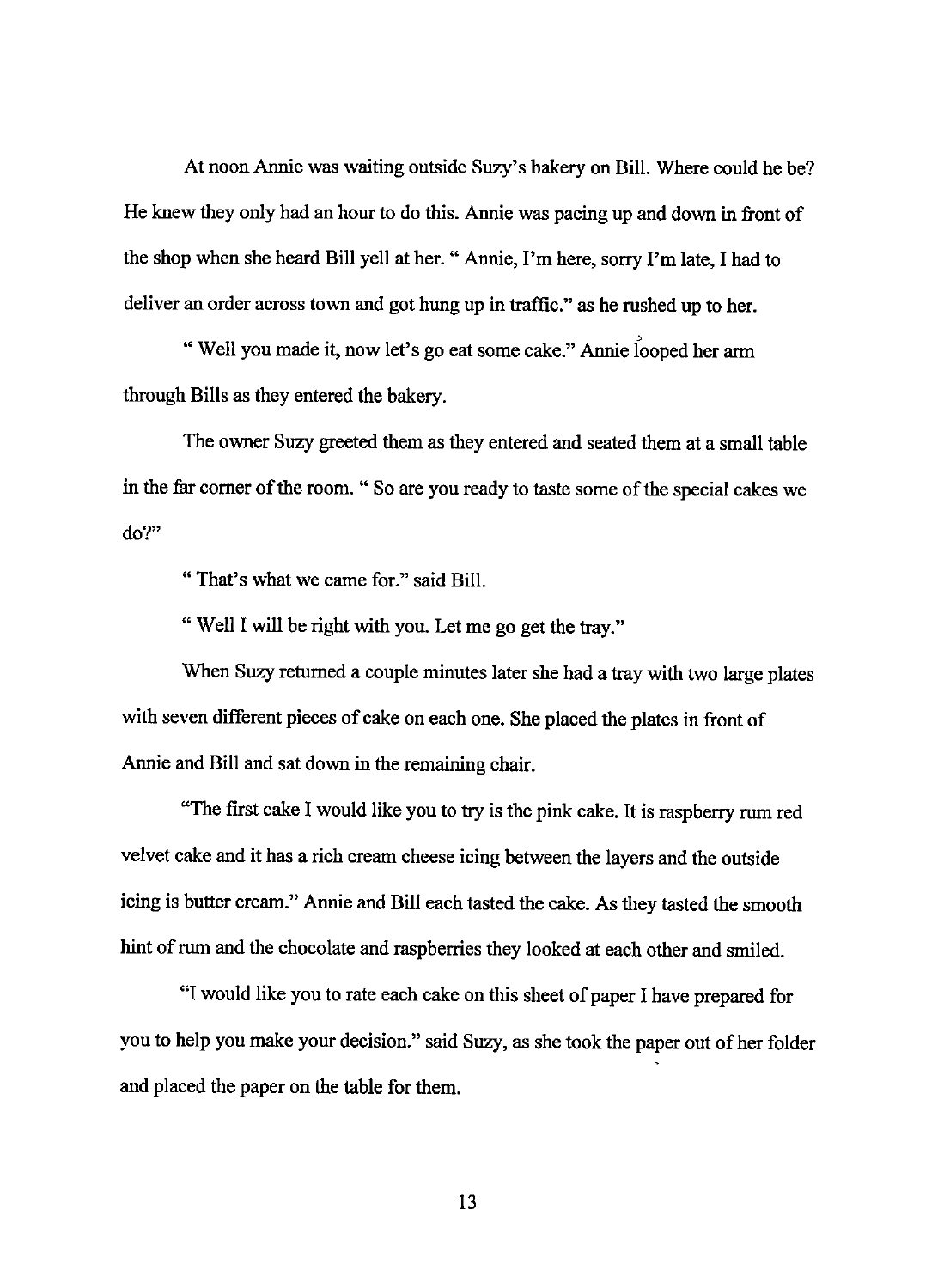At noon Annie was waiting outside Suzy's bakery on Bill. Where could he be? He knew they only had an hour to do this. Annie was pacing up and down in front of the shop when she heard Bill yell at her. "Annie, I'm here, sorry I'm late, I had to deliver an order across town and got hung up in traffic." as he rushed up to her.

' "Well you made it, now let's go eat some cake." Annie looped her arm through Bills as they entered the bakery.

The owner Suzy greeted them as they entered and seated them at a small table in the far comer of the room." So are you ready to taste some of the special cakes we do?"

"That's what we came for." said Bill.

" Well I will be right with you. Let me go get the tray."

When Suzy returned a couple minutes later she had a tray with two large plates with seven different pieces of cake on each one. She placed the plates in front of Annie and Bill and sat down in the remaining chair.

"The first cake I would like you to try is the pink cake. It is raspberry rum red velvet cake and it has a rich cream cheese icing between the layers and the outside icing is butter cream." Annie and Bill each tasted the cake. As they tasted the smooth hint of rum and the chocolate and raspberries they looked at each other and smiled.

"I would like you to rate each cake on this sheet of paper I have prepared for you to help you make your decision." said Suzy, as she took the paper out of her folder and placed the paper on the table for them.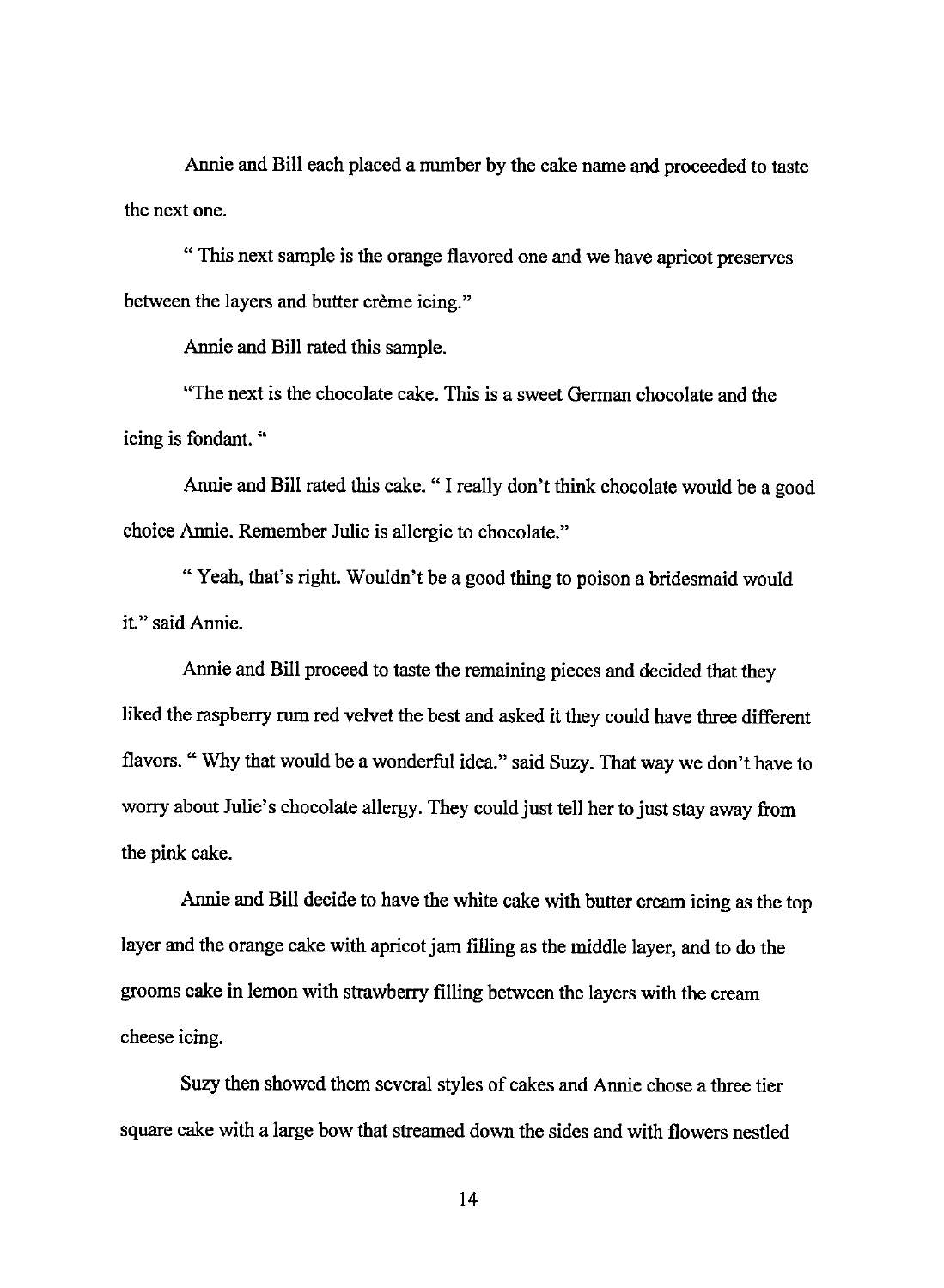Annie and Bill each placed a number by the cake name and proceeded to taste the next one.

" This next sample is the orange flavored one and we have apricot preserves between the layers and butter crème icing."

Annie and Bill rated this sample.

"The next is the chocolate cake. This is a sweet German chocolate and the icing is fondant. "

Annie and Bill rated this cake. " I really don't think chocolate would be a good choice Annie. Remember Julie is allergic to chocolate."

"Yeah, that's right. Wouldn't be a good thing to poison a bridesmaid would it." said Annie.

Annie and Bill proceed to taste the remaining pieces and decided that they liked the raspberry rum red velvet the best and asked it they could have three different flavors." Why that would be a wonderful idea." said Suzy. That way we don't have to worry about Julie's chocolate allergy. They could just tell her to just stay away from the pink cake.

Annie and Bill decide to have the white cake with butter cream icing as the top layer and the orange cake with apricot jam filling as the middle layer, and to do the grooms cake in lemon with strawberry filling between the layers with the cream cheese icing.

Suzy then showed them several styles of cakes and Annie chose a three tier square cake with a large bow that streamed down the sides and with flowers nestled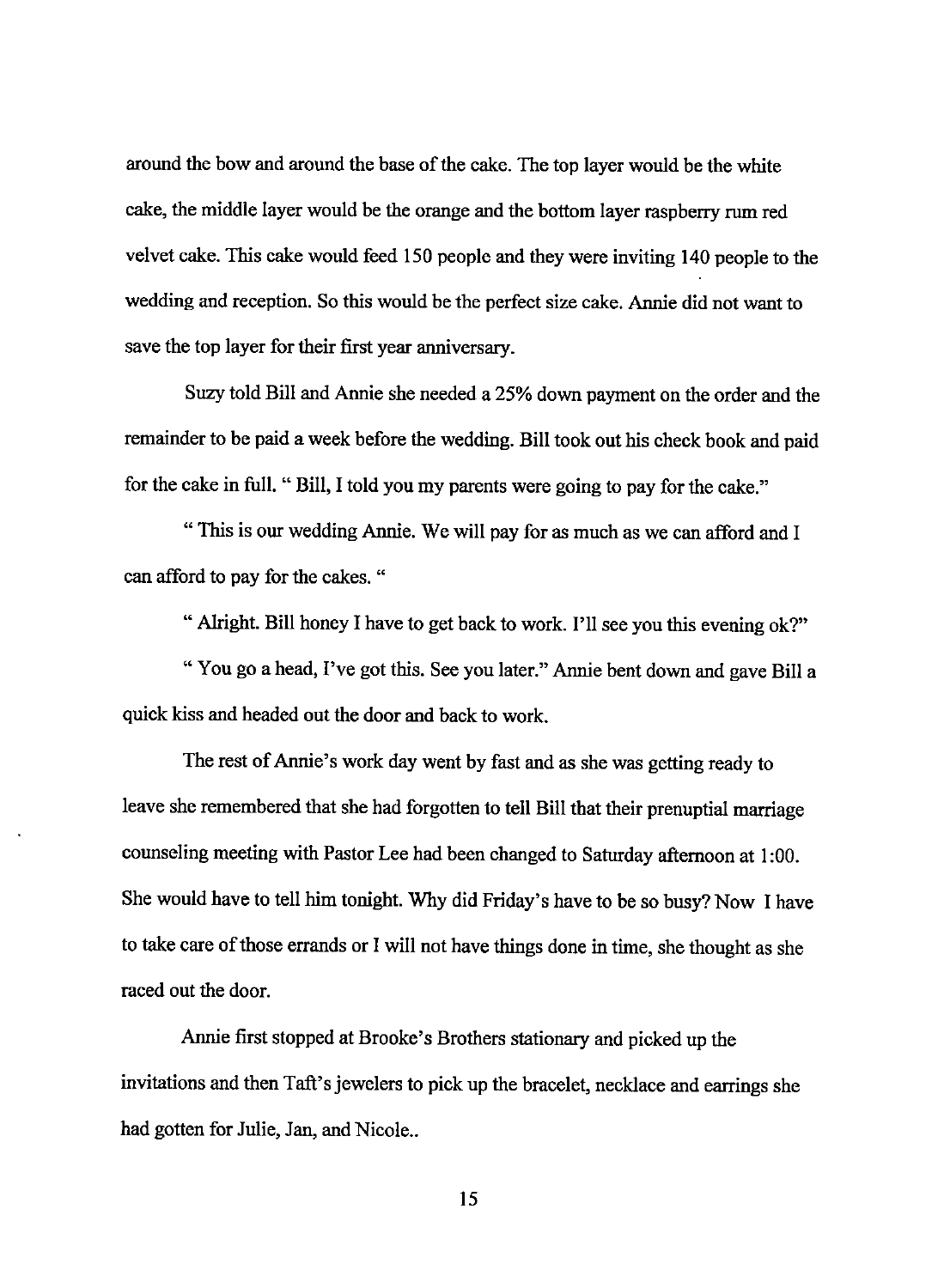around the bow and around the base of the cake. The top layer would be the white cake, the middle layer would be the orange and the bottom layer raspberry rum red velvet cake. This cake would feed 150 people and they were inviting 140 people to the wedding and reception. So this would be the perfect size cake. Annie did not want to save the top layer for their first year anniversary.

Suzy told Bill and Annie she needed a 25% down payment on the order and the remainder to be paid a week before the wedding. Bill took out his check book and paid for the cake in full. "Bill, I told you my parents were going to pay for the cake."

"This is our wedding Annie. We will pay for as much as we can afford and I can afford to pay for the cakes. "

" Alright. Bill honey I have to get back to work. I'll see you this evening ok?"

"You go a head, I've got this. See you later." Annie bent down and gave Bill a quick kiss and headed out the door and back to work.

The rest of Annie's work day went by fast and as she was getting ready to leave she remembered that she had forgotten to tell Bill that their prenuptial marriage counseling meeting with Pastor Lee had been changed to Saturday afternoon at I :00. She would have to tell him tonight. Why did Friday's have to be so busy? Now I have to take care of those errands or I will not have things done in time, she thought as she raced out the door.

Annie first stopped at Brooke's Brothers stationary and picked up the invitations and then Taft's jewelers to pick up the bracelet, necklace and earrings she had gotten for Julie, Jan, and Nicole..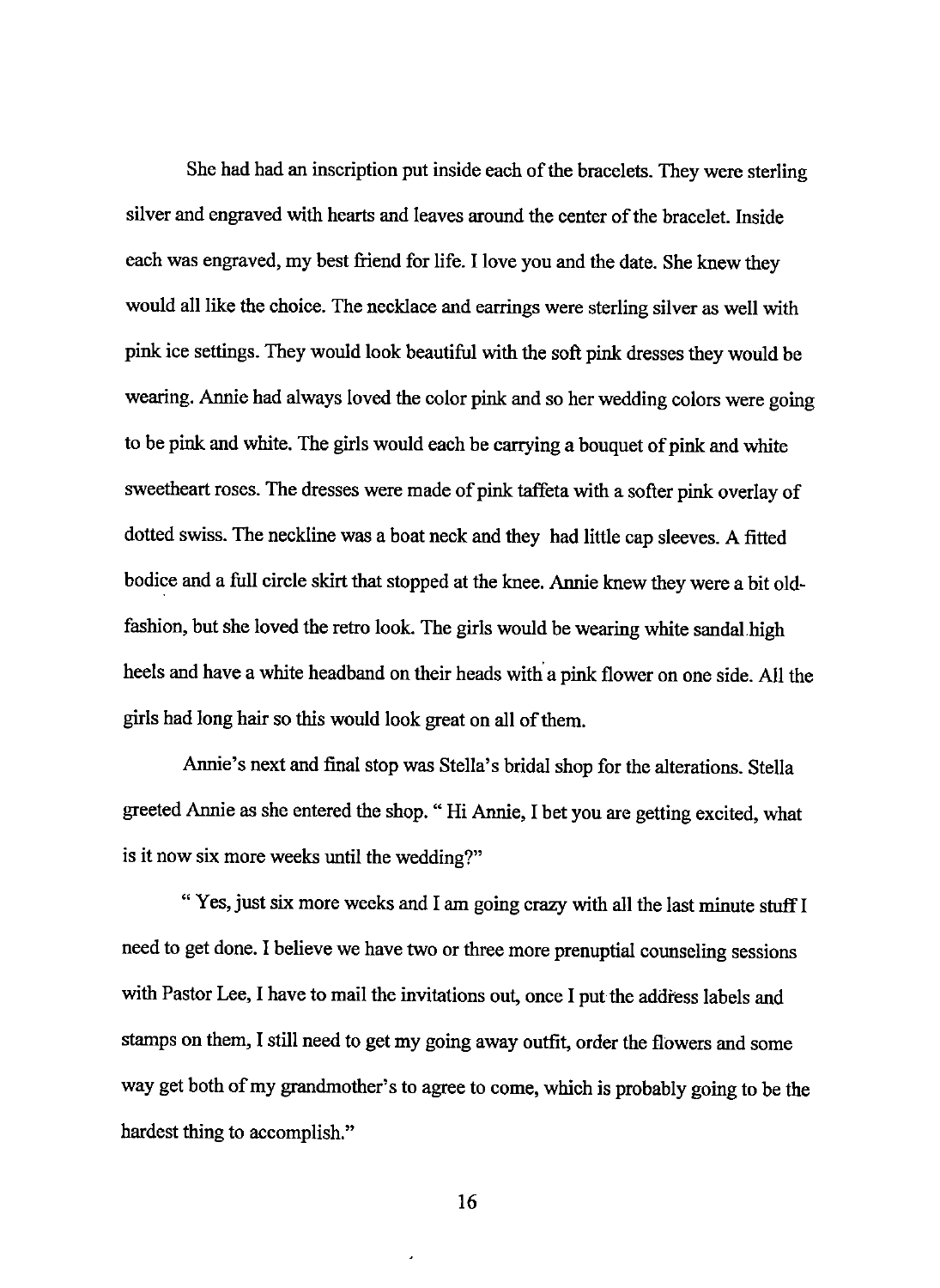She had had an inscription put inside each of the bracelets. They were sterling silver and engraved with hearts and leaves around the center of the bracelet. Inside each was engraved, my best friend for life. I love you and the date. She knew they would all like the choice. The necklace and earrings were sterling silver as well with pink ice settings. They would look beautiful with the soft pink dresses they would be wearing. Annie had always loved the color pink and so her wedding colors were going to be pink and white. The girls would each be carrying a bouquet of pink and white sweetheart roses. The dresses were made of pink taffeta with a softer pink overlay of dotted swiss. The neckline was a boat neck and they had little cap sleeves. A fitted bodice and a full circle skirt that stopped at the knee. Annie knew they were a bit oldfashion, but she loved the retro look. The girls would be wearing white sandal high heels and have a white headband on their heads with a pink flower on one side. All the girls had long hair so this would look great on all of them.

Annie's next and final stop was Stella's bridal shop for the alterations. Stella greeted Annie as she entered the shop. " Hi Annie, I bet you are getting excited, what is it now six more weeks until the wedding?"

" Yes, just six more weeks and I am going crazy with all the last minute stuff I need to get done. I believe we have two or three more prenuptial counseling sessions with Pastor Lee, I have to mail the invitations out, once I put the address labels and stamps on them, I still need to get my going away outfit, order the flowers and some way get both of my grandmother's to agree to come, which is probably going to be the hardest thing to accomplish."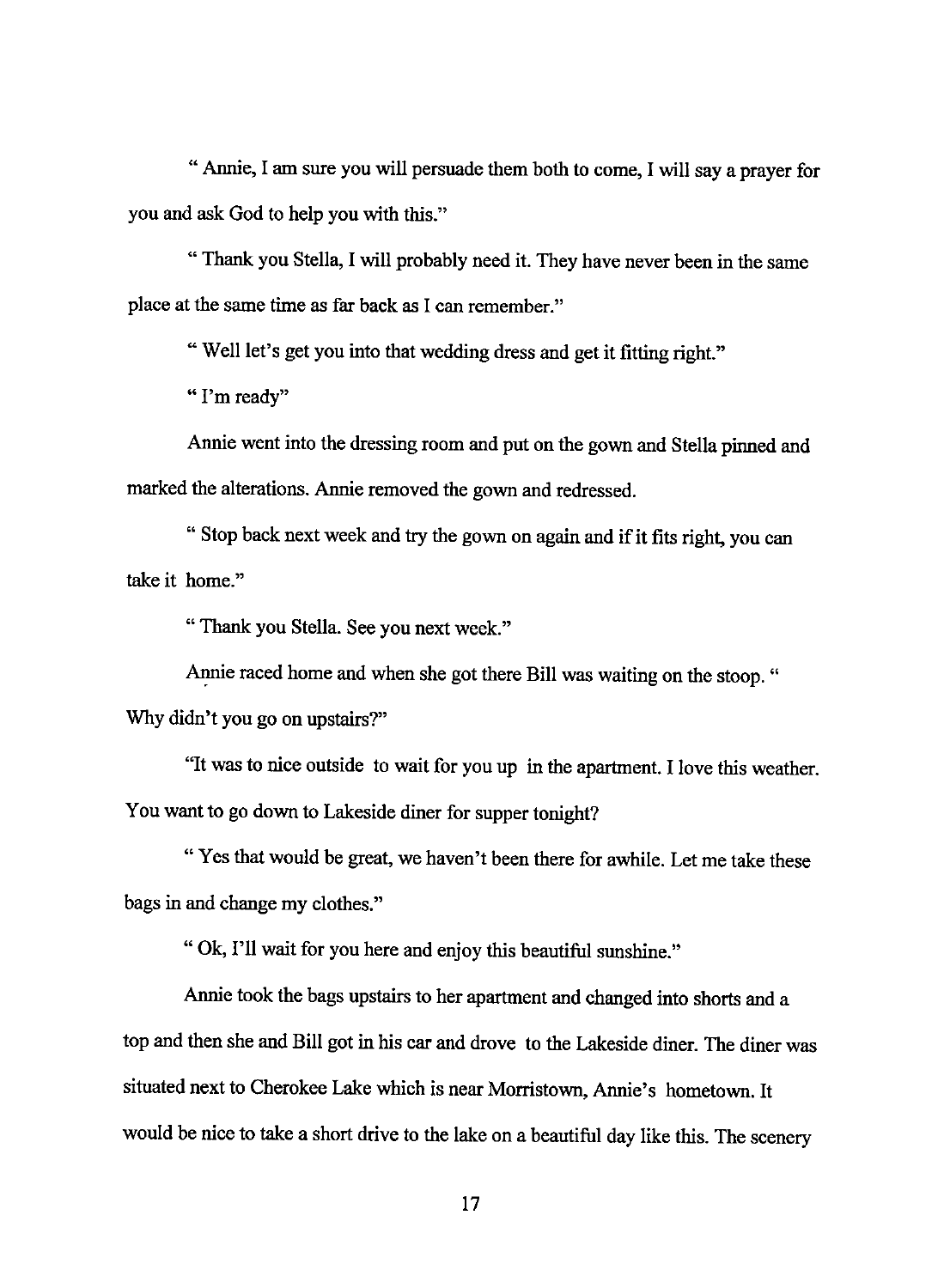" Annie, I am sure you will persuade them both to come, I will say a prayer for you and ask God to help you with this."

" Thank you Stella, I will probably need it. They have never been in the same place at the same time as far back as I can remember."

"Well let's get you into that wedding dress and get it fitting right."

" I'm ready"

Annie went into the dressing room and put on the gown and Stella pinned and marked the alterations. Annie removed the gown and redressed.

" Stop back next week and try the gown on again and if it fits right, you can take it home."

"Thank you Stella. See you next week."

Annie raced home and when she got there Bill was waiting on the stoop. " Why didn't you go on upstairs?"

"It was to nice outside to wait for you up in the apartment. I love this weather. You want to go down to Lakeside diner for supper tonight?

"Yes that would be great, we haven't been there for awhile. Let me take these bags in and change my clothes."

"Ok, I'll wait for you here and enjoy this beautiful sunshine."

Annie took the bags upstairs to her apartment and changed into shorts and a top and then she and Bill got in his car and drove to the Lakeside diner. The diner was situated next to Cherokee Lake which is near Morristown, Annie's hometown. It would be nice to take a short drive to the lake on a beautiful day like this. The scenery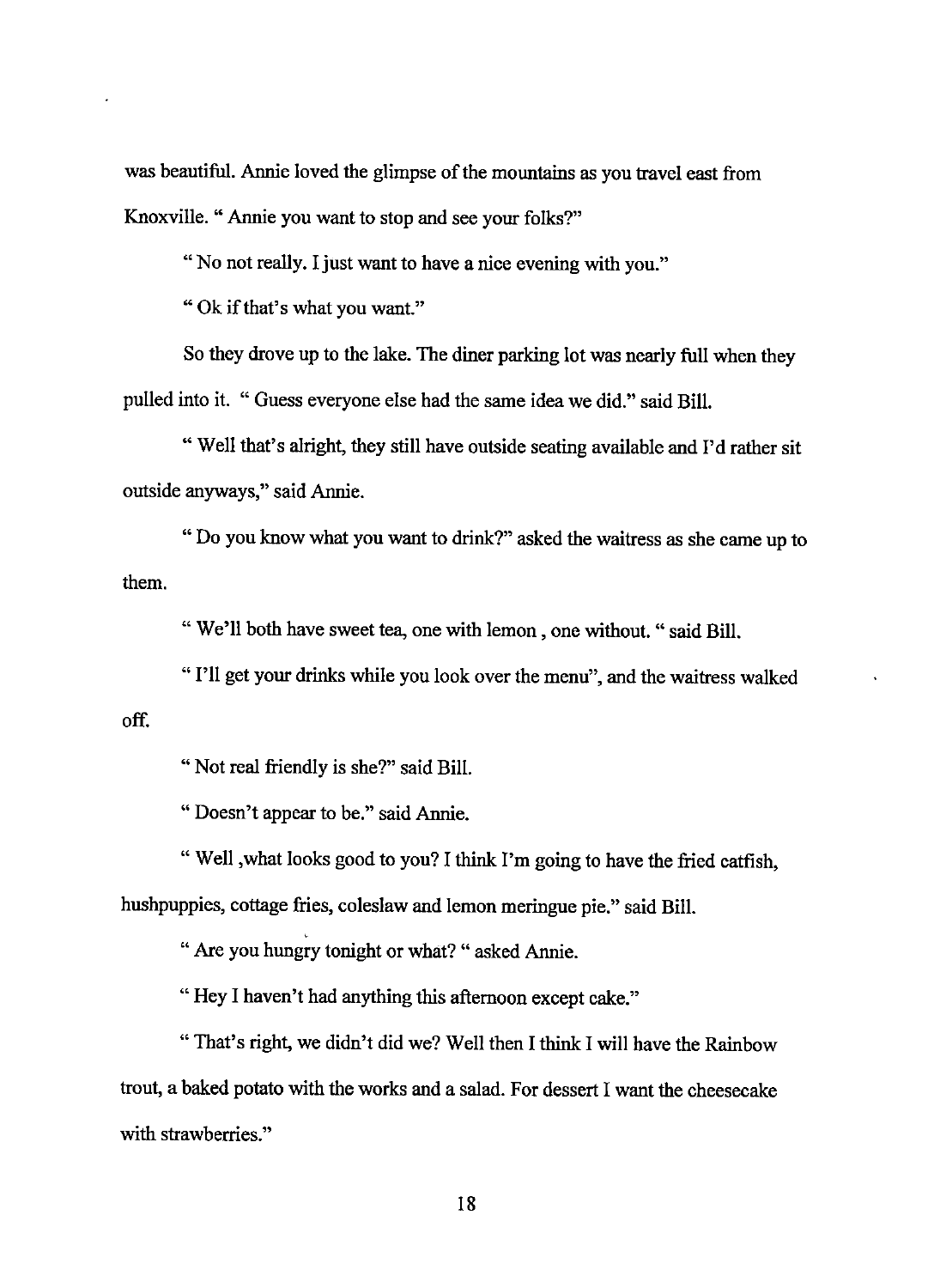was beautiful. Annie loved the glimpse of the mountains as you travel east from Knoxville. " Annie you want to stop and see your folks?"

"No not really. I just want to have a nice evening with you."

"Ok if that's what you want."

So they drove up to the lake. The diner parking lot was nearly full when they pulled into it. " Guess everyone else had the same idea we did." said Bill.

"Well that's alright, they still have outside seating available and I'd rather sit outside anyways," said Annie.

" Do you know what you want to drink?" asked the waitress as she came up to them.

" We'll both have sweet tea, one with lemon, one without. "said Bill.

"I'll get your drinks while you look over the menu", and the waitress walked off.

" Not real friendly is she?" said Bill.

"Doesn't appear to be." said Annie.

" Well , what looks good to you? I think I'm going to have the fried catfish, hushpuppies, cottage fries, coleslaw and lemon meringue pie." said Bill.

' " Are you hungry tonight or what? " asked Annie.

"Hey I haven't had anything this afternoon except cake."

" That's right, we didn't did we? Well then I think I will have the Rainbow trout, a baked potato with the works and a salad. For dessert I want the cheesecake with strawberries."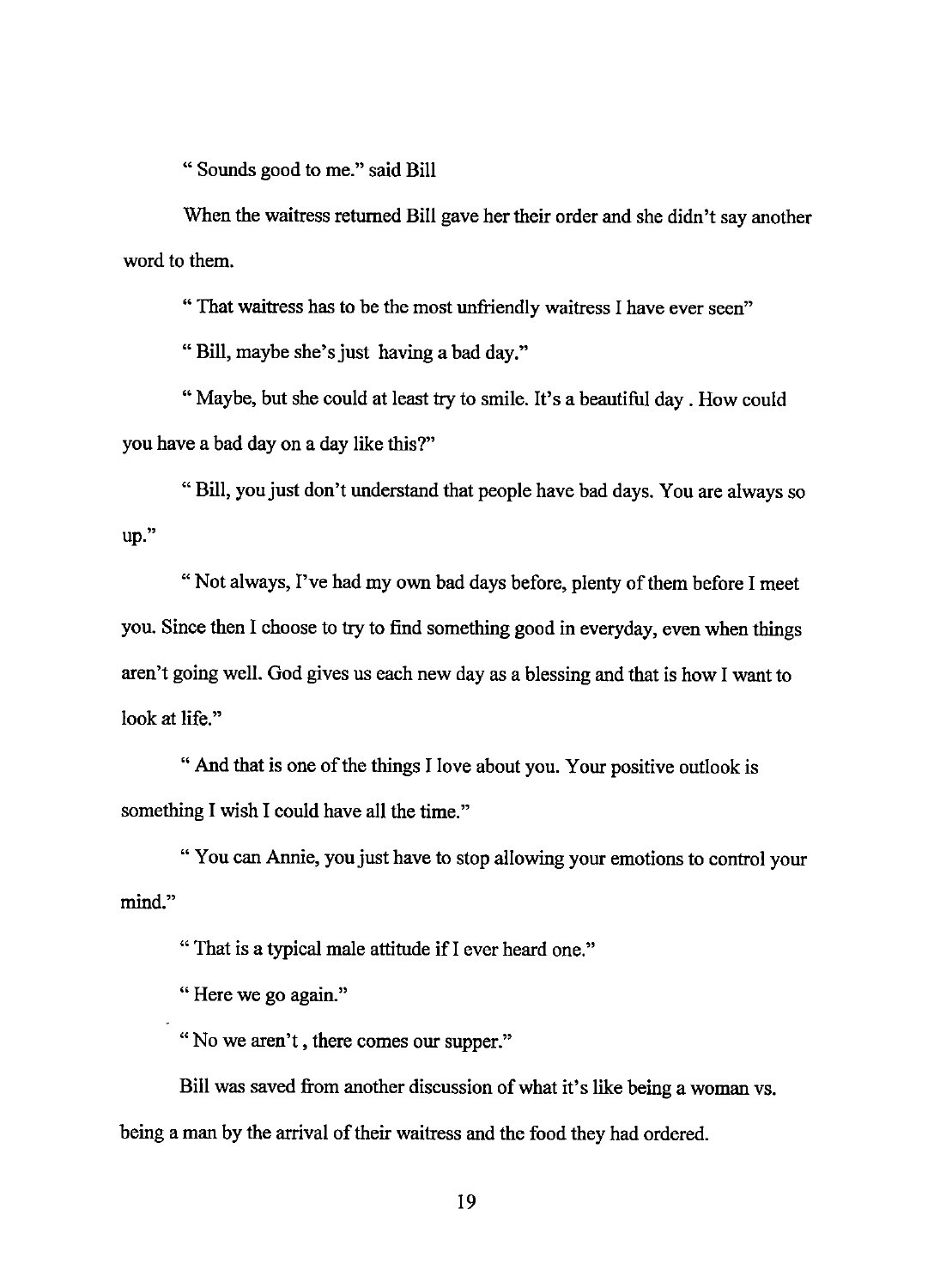" Sounds good to me." said Bill

When the waitress returned Bill gave her their order and she didn't say another word to them.

" That waitress has to be the most unfriendly waitress I have ever seen"

"Bill, maybe she's just having a bad day."

"Maybe, but she could at least try to smile. It's a beautiful day . How could you have a bad day on a day like this?"

"Bill, you just don't understand that people have bad days. You are always so up."

" Not always, I've had my own bad days before, plenty of them before I meet you. Since then I choose to try to find something good in everyday, even when things aren't going well. God gives us each new day as a blessing and that is how I want to look at life."

" And that is one of the things I love about you. Your positive outlook is something I wish I could have all the time."

mind." " You can Annie, you just have to stop allowing your emotions to control your

" That is a typical male attitude if I ever heard one."

" Here we go again."

"No we aren't, there comes our supper."

Bill was saved from another discussion of what it's like being a woman vs. being a man by the arrival of their waitress and the food they had ordered.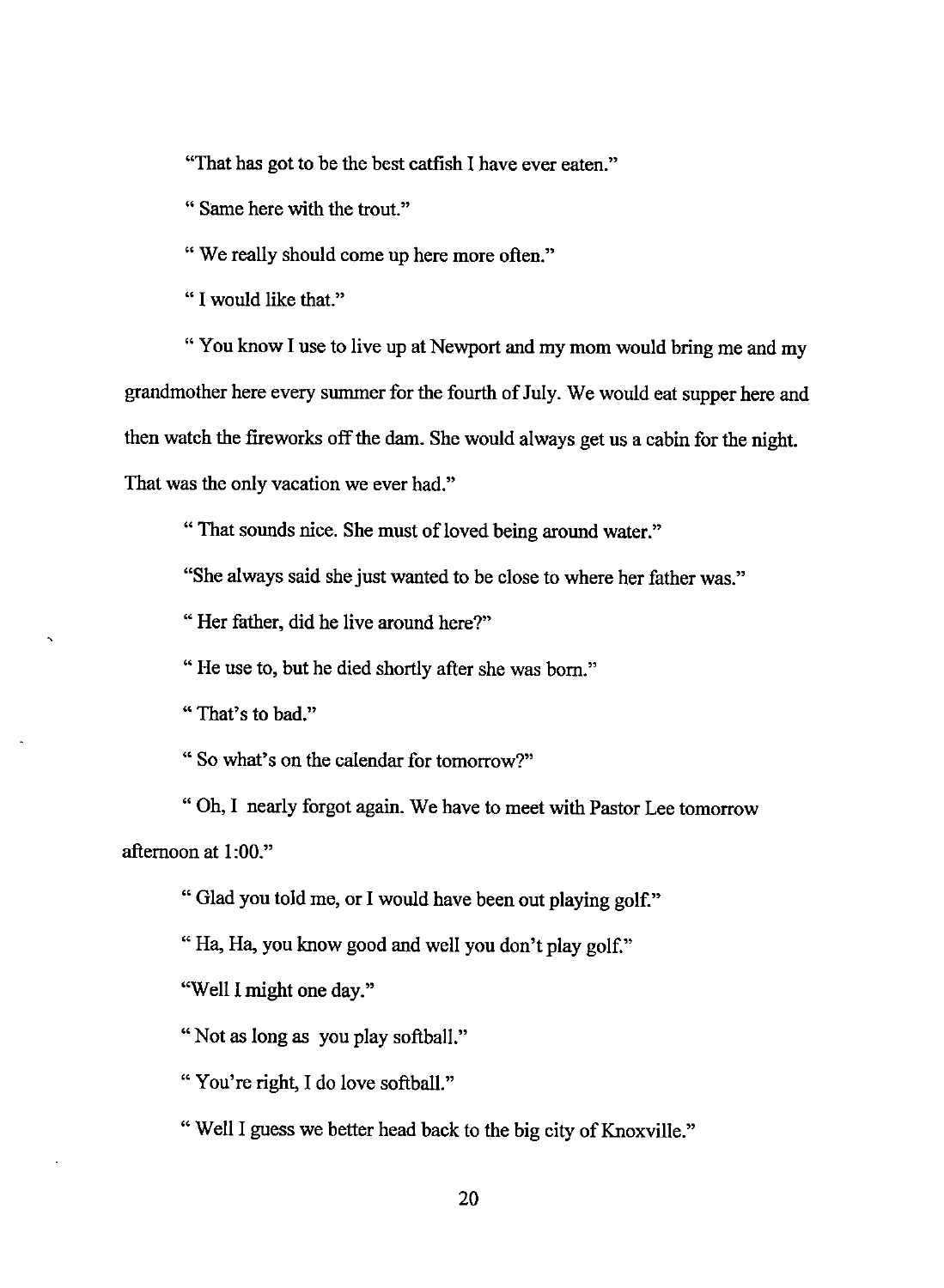"That has got to be the best catfish I have ever eaten."

" Same here with the trout."

"We really should come up here more often."

" I would like that."

" You know I use to live up at Newport and my mom would bring me and my grandmother here every summer for the fourth of July. We would eat supper here and then watch the fireworks off the dam. She would always get us a cabin for the night. That was the only vacation we ever had."

"That sounds nice. She must of loved being around water."

"She always said she just wanted to be close to where her father was."

" Her father, did he live around here?"

"He use to, but he died shortly after she was born."

" That's to bad."

" So what's on the calendar for tomorrow?"

"Oh, I nearly forgot again. We have to meet with Pastor Lee tomorrow afternoon at 1:00."

" Glad you told me, or I would have been out playing golf."

"Ha, Ha, you know good and well you don't play golf."

"Well I might one day."

"Not as long as you play softball."

" You're right, I do love softball."

"Well I guess we better head back to the big city of Knoxville."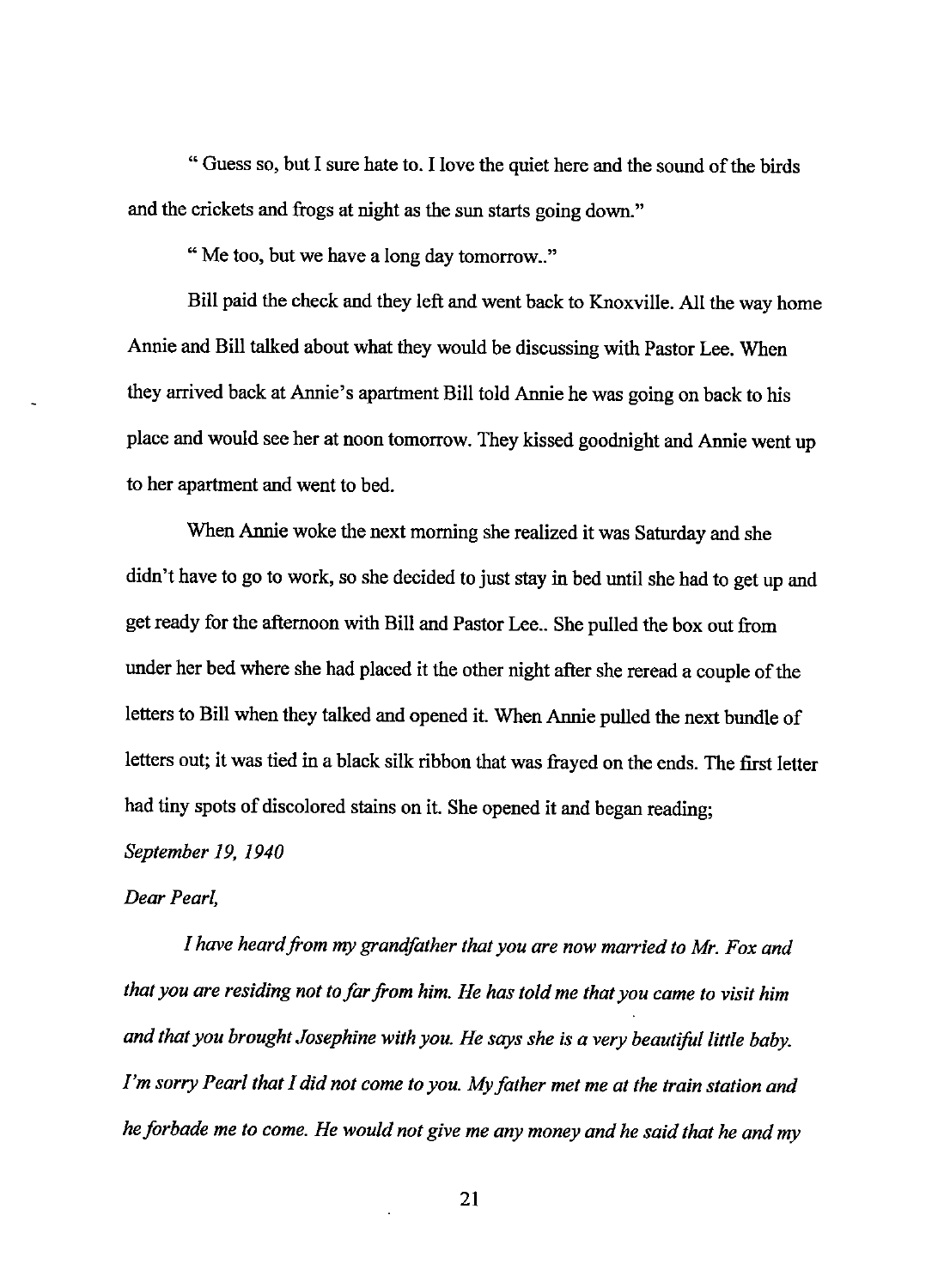" Guess so, but I sure hate to. I love the quiet here and the sound of the birds and the crickets and frogs at night as the sun starts going down."

" Me too, but we have a long day tomorrow.."

Bill paid the check and they left and went back to Knoxville. All the way home Annie and Bill talked about what they would be discussing with Pastor Lee. When they arrived back at Annie's apartment Bill told Annie he was going on back to his place and would see her at noon tomorrow. They kissed goodnight and Annie went up to her apartment and went to bed.

When Annie woke the next morning she realized it was Saturday and she didn't have to go to work, so she decided to just stay in bed until she had to get up and get ready for the afternoon with Bill and Pastor Lee .. She pulled the box out from under her bed where she had placed it the other night after she reread a couple of the letters to Bill when they talked and opened it. When Annie pulled the next bundle of letters out; it was tied in a black silk ribbon that was frayed on the ends. The first letter had tiny spots of discolored stains on it. She opened it and began reading;

## *September 19, 1940*

## *Dear Pearl,*

*1 have heard from my grandfather that you are now married to Mr. Fox and that you are residing not to far from him. He has told me that you came to visit him and that you brought Josephine with you. He says she is a very beautiful little baby. I'm sorry Pearl that 1 did not come to you. My father met me at the train station and he forbade me to come. He would not give me any money and he said that he and my*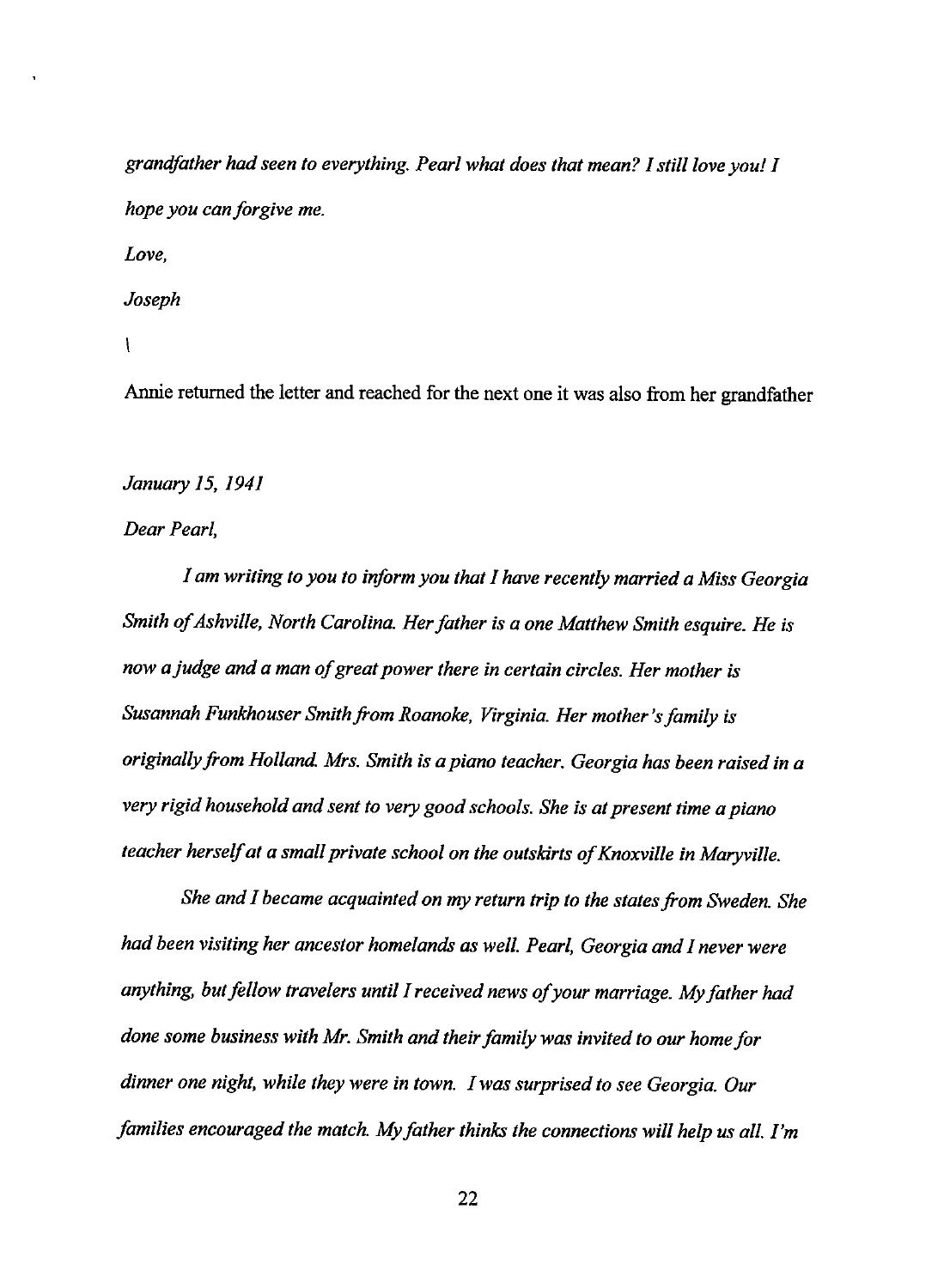*grandfather had seen to everything. Pearl what does that mean? I still love you! I hope you can forgive me. Love, Joseph* 

#### $\mathcal{L}$

Annie returned the letter and reached for the next one it was also from her grandfather

## *January 15, 1941*

### *Dear Pearl,*

*I am writing to you to inform you that I have recently married a Miss Georgia Smith of Ashville, North Carolina. Her father is a one Matthew Smith esquire. He is now a judge and a man of great power there in certain circles. Her mother is Susannah Funkhouser Smith from Roanoke, Virginia. Her mother's family is originally from Holland. Mrs. Smith is a piano teacher. Georgia has been raised in a very rigid household and sent to very good schools. She is at present time a piano teacher herself at a small private school on the outskirts of Knoxville in Maryville.* 

*She and I became acquainted on my return trip to the states from Sweden. She had been visiting her ancestor homelands as well. Pearl, Georgia and I never were anything, but fellow travelers until I received news of your marriage. My father had done some business with Mr. Smith and their family was invited to our home for dinner one night, while they were in town. I was surprised to see Georgia. Our families encouraged the match. My father thinks the connections will help us all. I'm*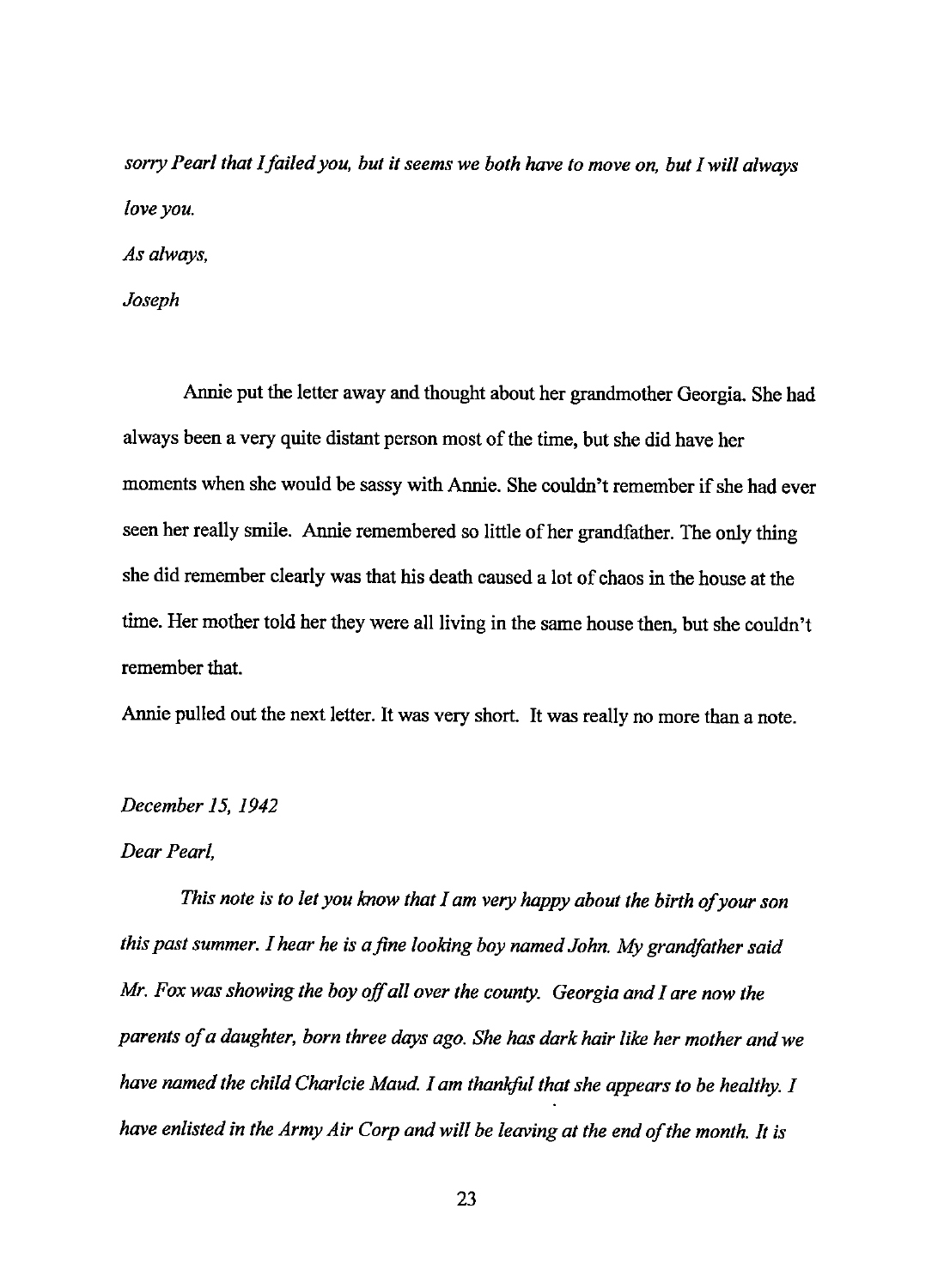*sorry Pearl that I failed you, but it seems we both have to move on, but I will always love you.* 

*Asa/ways,* 

*Joseph* 

Annie put the letter away and thought about her grandmother Georgia. She had always been a very quite distant person most of the time, but she did have her moments when she would be sassy with Annie. She couldn't remember if she had ever seen her really smile. Annie remembered so little of her grandfather. The only thing she did remember clearly was that his death caused a lot of chaos in the house at the time. Her mother told her they were all living in the same house then, but she couldn't remember that.

Annie pulled out the next letter. It was very short. It was really no more than a note.

## *December 15, 1942*

#### *Dear Pearl,*

*This note is to let you know that I am very happy about the birth of your son*  this past summer. I hear he is a fine looking boy named John. My grandfather said *Mr. Fox was showing the boy off all over the county. Georgia and I are now the parents of a daughter, born three days ago. She has dark hair like her mother and we have named the child Charlcie Maud. I am thankful that she appears to be healthy. I have enlisted in the Army Air Corp and will be leaving at the end of the month. It is*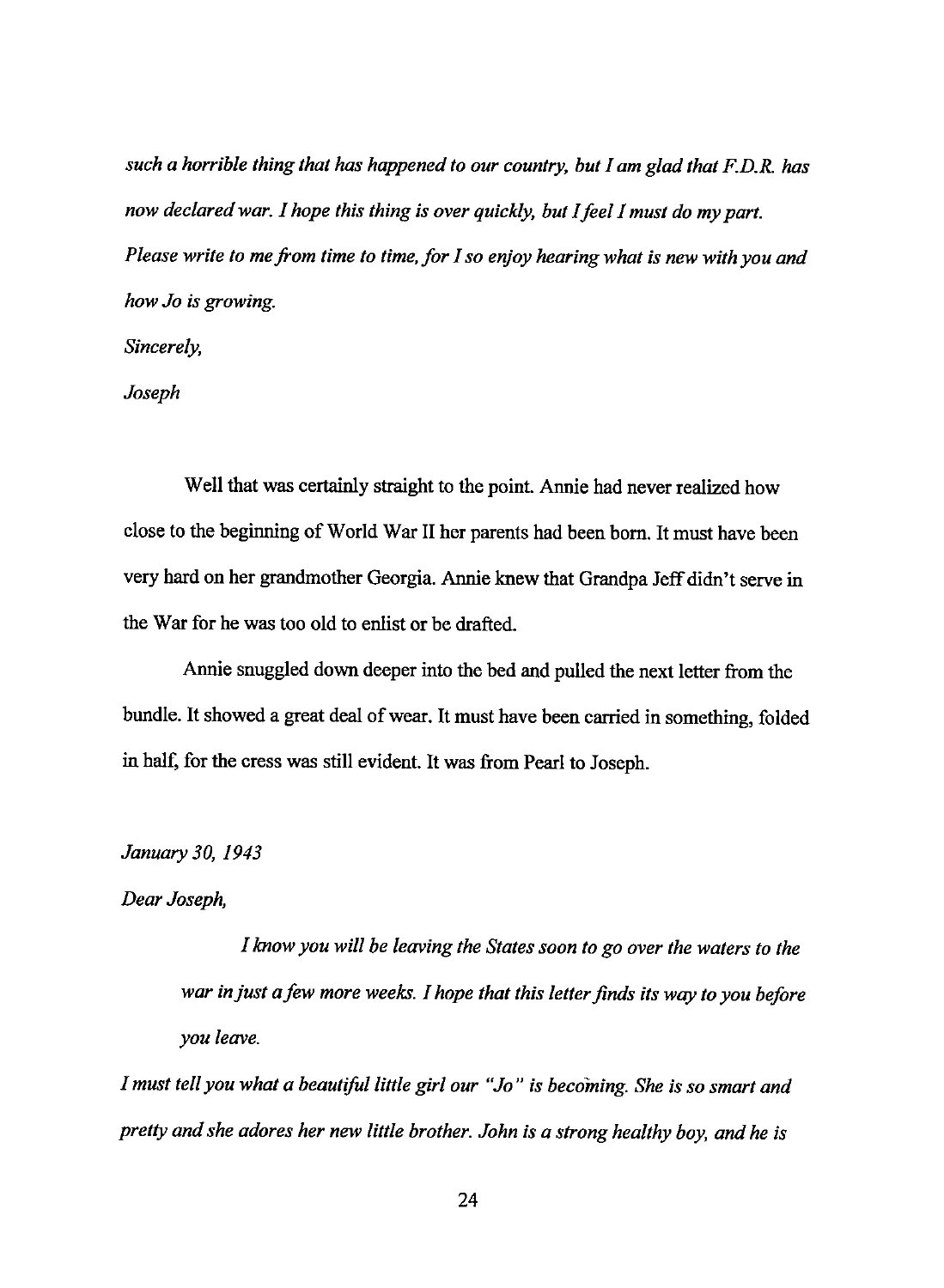*such a horrible thing that has happened to our country, but I am glad that F.D.R. has now declared war. I hope this thing is over quickly, but I feel I must do my part. Please write to me from time to time, for I so enjoy hearing what is new with you and how Jo is growing.* 

*Sincerely,* 

*Joseph* 

Well that was certainly straight to the point. Annie had never realized how close to the beginning of World War II her parents had been born. It must have been very hard on her grandmother Georgia. Annie knew that Grandpa Jeff didn't serve in the War for he was too old to enlist or be drafted.

Annie snuggled down deeper into the bed and pulled the next letter from the bundle. It showed a great deal of wear. It must have been carried in something, folded in half, for the cress was still evident. It was from Pearl to Joseph.

*January 30, 1943* 

## *Dear Joseph,*

*I know you will be leaving the States soon to go over the waters to the war in just a few more weeks. I hope that this letter finds its way to you before you leave.* 

*I must tell you what a beautiful little girl our "Jo" is becoming. She is so smart and pretty and she adores her new little brother. John is a strong healthy boy, and he is*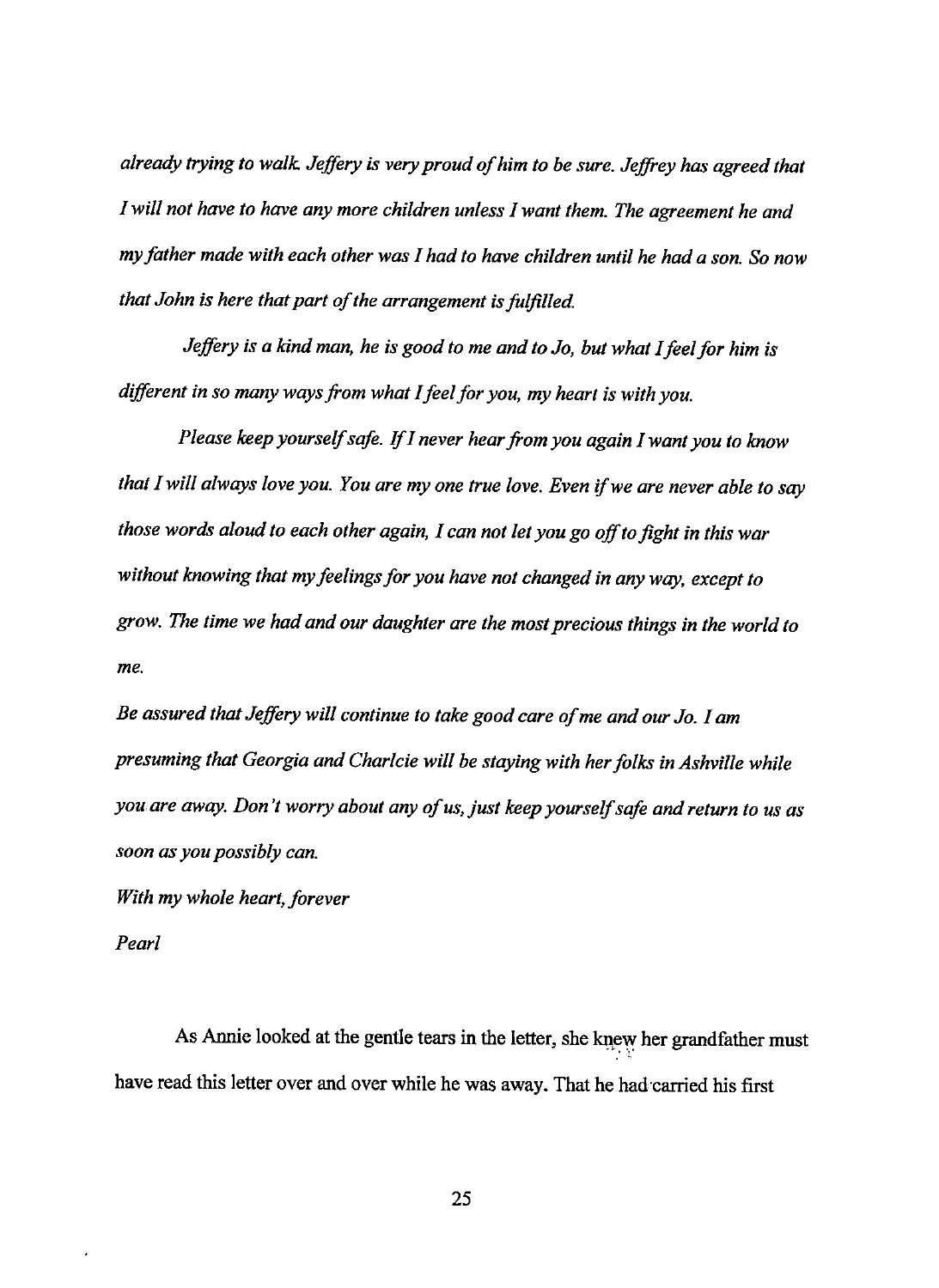*already trying to walk Jeffery is very proud of him to be sure. Jeffrey has agreed that I will not have to have any more children unless I want them. The agreement he and my father made with each other was I had to have children until he had a son. So now that John is here that part of the arrangement is faljilled.* 

*Jeffery is a kind man, he is good to me and to Jo, but what I feel for him is different in so many ways from what I feel for you, my heart is with you.* 

*Please keep yourself safe. If* I *never hear from you again* I *want you to know that I will always love you. You are my one true love. Even* if *we are never able to say those words aloud to each other again, I can not let you go off to fight in this war without knowing that my feelings for you have not changed in any way, except to grow. The time we had and our daughter are the most precious things in the world to me.* 

*Be assured that Jeffery will continue to take good care of me and our Jo. I am presuming that Georgia and Charlcie will be staying with her folks in Ashville while you are away. Don't worry about any of us, just keep yourself safe and return to us as soon as you possibly can.* 

*With my whole heart, forever* 

*Pearl* 

As Annie looked at the gentle tears in the letter, she knew her grandfather must have read this letter over and over while he was away. That he had·carried his first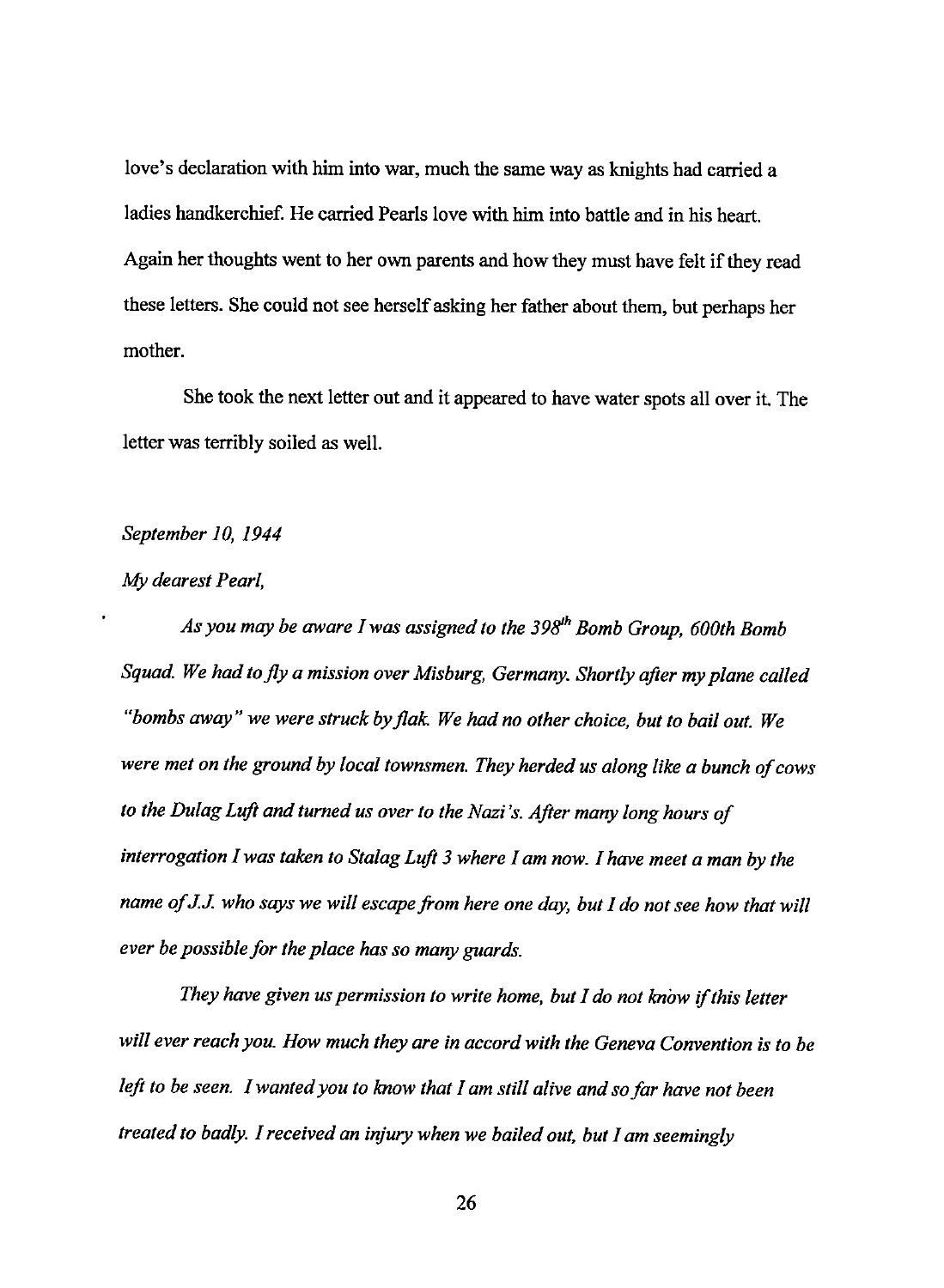love's declaration with him into war, much the same way as knights had carried a ladies handkerchief. He carried Pearls love with him into battle and in his heart. Again her thoughts went to her own parents and how they must have felt if they read these letters. She could not see herself asking her father about them, but perhaps her mother.

She took the next letter out and it appeared to have water spots all over it. The letter was terribly soiled as well.

## *September I 0, I 944*

## *My dearest Pearl,*

*As you may be aware I was assigned to the* 398'h *Bomb Group, 600th Bomb Squad. We had to fly a mission over Misburg, Germany. Shortly after my plane called "bombs away" we were struck by flak We had no other choice, but to bail out. We were met on the ground by local townsmen. They herded us along like a bunch of cows to the Dulag Luft and turned us over to the Nazi's. After many long hours of*  interrogation I was taken to Stalag Luft 3 where I am now. I have meet a man by the *name of* J.J. *who says we will escape from here one day, but I do not see how that will ever be possible for the place has so many guards.* 

*They have given us permission to write home, but I do not know* if *this letter will ever reach you. How much they are in accord with the Geneva Convention is to be left to be seen. I wanted you to know that I am still alive and so far have not been treated to badly. I received an injury when we bailed out, but I am seemingly*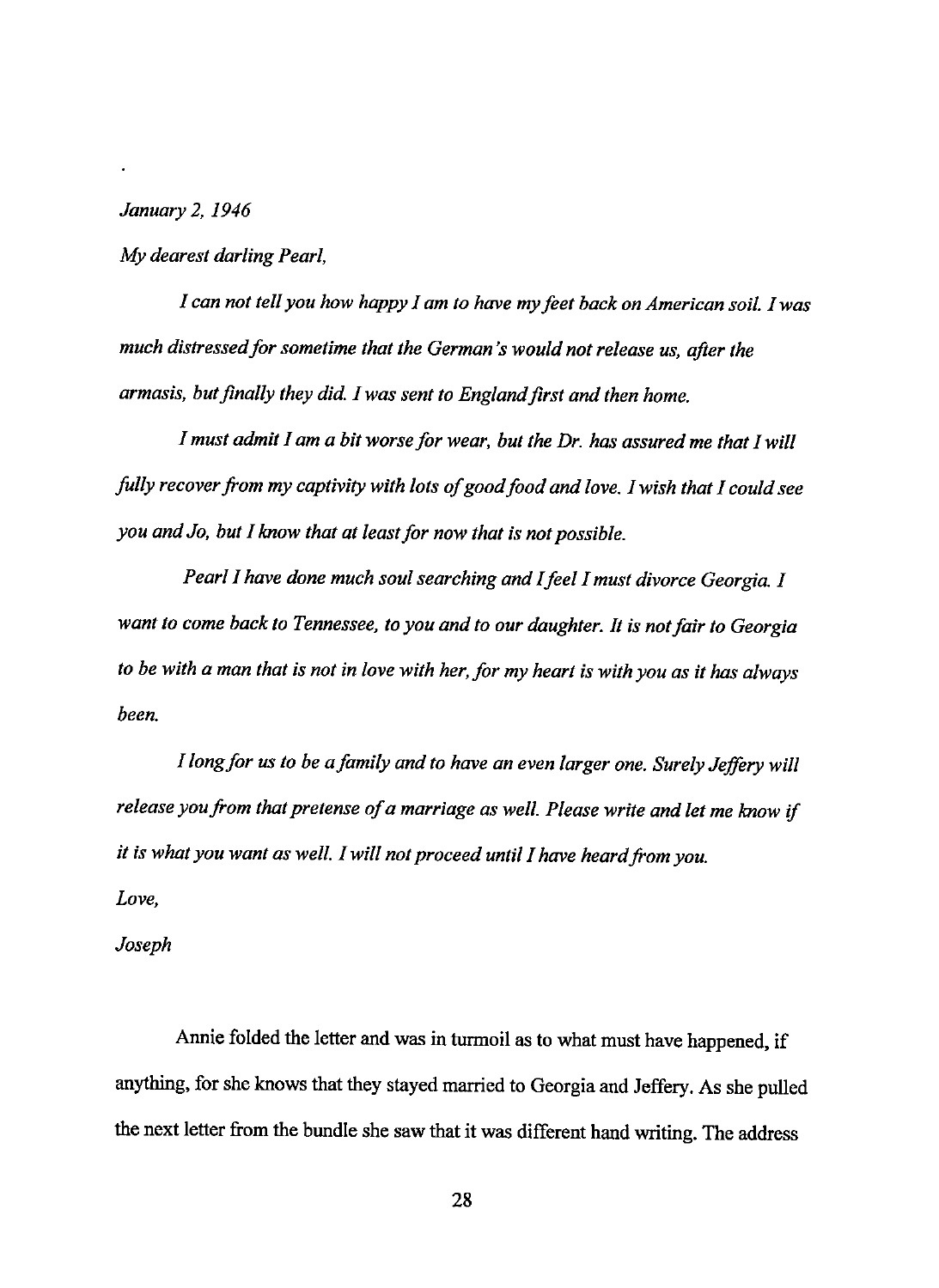*January 2, 1946* 

*My dearest darling Pearl,* 

*1 can not tell you how happy 1 am to have my feet back on American soil. 1 was much distressed for sometime that the German's would not release us, after the armasis, but finally they did. I was sent to England first and then home.* 

*I must admit 1 am a bit worse for wear, but the Dr. has assured me that 1 will folly recover from my captivity with lots of good food and love. 1 wish that I could see you and Jo, but 1 know that at least for now that is not possible.* 

*Pearl 1 have done much soul searching and I feel I must divorce Georgia. I want to come back to Tennessee, to you and to our daughter. It is not fair to Georgia to be with a man that is not in love with her, for my heart is with you as it has always been.* 

*I long for us to be a family and to have an even larger one. Surely Jeffery will release you from that pretense of a marriage as well. Please write and let me know if it is what you want as well. I will not proceed until I have heard from you.* 

*Love,* 

*Joseph* 

Annie folded the letter and was in turmoil as to what must have happened, if anything, for she knows that they stayed married to Georgia and Jeffery. As she pulled the next letter from the bundle she saw that it was different hand writing. The address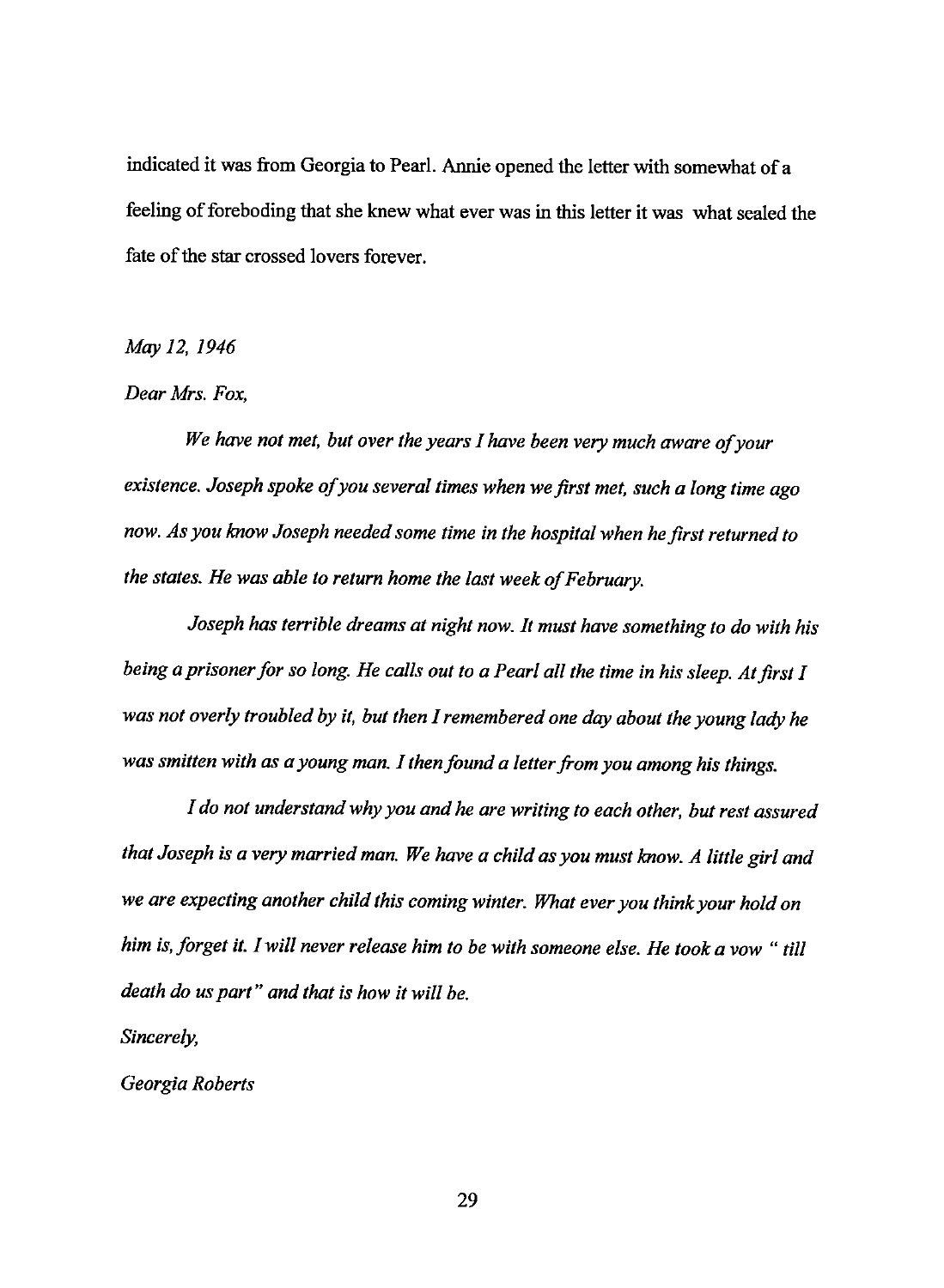indicated it was from Georgia to Pearl. Annie opened the letter with somewhat of a feeling of foreboding that she knew what ever was in this letter it was what sealed the fate of the star crossed lovers forever.

*May 12, 1946* 

## *Dear Mrs. Fox,*

*We have not met, but over the years I have been very much aware of your existence. Joseph spoke of you several times when we first met, such a long time ago now. As you know Joseph needed some time in the hospital when he first returned to the states. He was able to return home the last week of February.* 

*Joseph has terrible dreams at night now. It must have something to do with his being a prisoner for so long. He calls out to a Pearl all the time in his sleep. At first I was not overly troubled by it, but then I remembered one day about the young lady he was smitten with as a young man. I then found a letter from you among his things.* 

*I do not understand why you and he are writing to each other, but rest assured that Joseph is a very married man. We have a child as you must know. A little girl and we are expecting another child this coming winter. What ever you think your hold on him is, forget it. I will never release him to be with someone else. He took a vow* " *till death do us part" and that is how it will be.* 

*Sincerely,* 

*Georgia Roberts*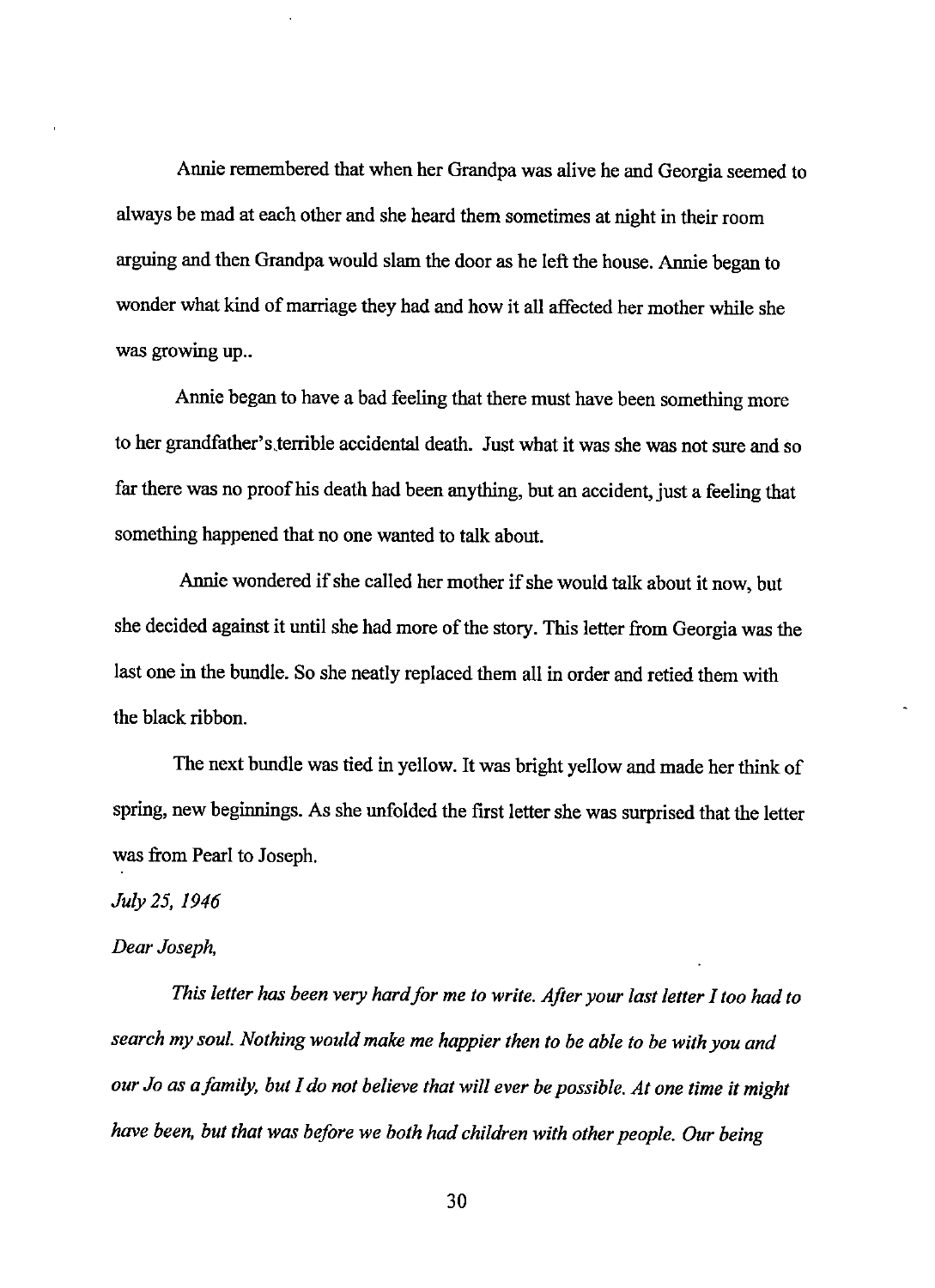Annie remembered that when her Grandpa was alive he and Georgia seemed to always be mad at each other and she heard them sometimes at night in their room arguing and then Grandpa would slam the door as he left the house. Annie began to wonder what kind of marriage they had and how it all affected her mother while she was growing up...

Annie began to have a bad feeling that there must have been something more to her grandfather's terrible accidental death. Just what it was she was not sure and so far there was no proof his death had been anything, but an accident, just a feeling that something happened that no one wanted to talk about.

Annie wondered if she called her mother if she would talk about it now, but she decided against it until she had more of the story. This letter from Georgia was the last one in the bundle. So she neatly replaced them all in order and retied them with the black ribbon.

The next bundle was tied in yellow. It was bright yellow and made her think of spring, new beginnings. As she unfolded the first letter she was surprised that the letter was from Pearl to Joseph.

*July 25, 1946* 

## *Dear Joseph,*

*This letter has been very hard for me to write. After your last letter I too had to search my soul. Nothing would make me happier then to be able to be with you and our Jo as a family, but I do not believe that will ever be possible. At one time it might have been, but that was before we both had children with other people. Our being*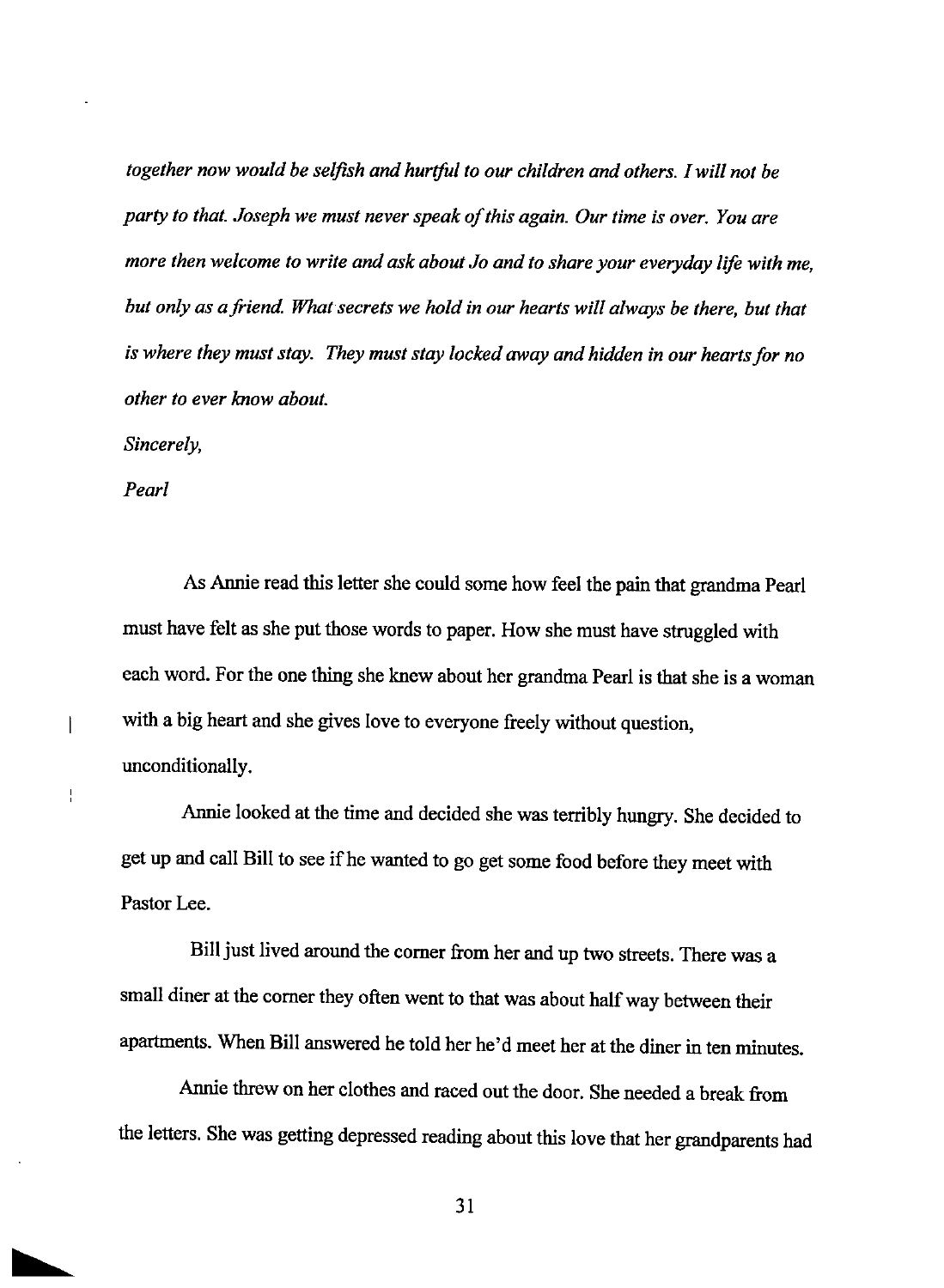*together now would be selfish and hurtful to our children and others. I will not be party to that. Joseph we must never speak of this again. Our time is over. You are more then welcome to write and ask about Jo and to share your everyday life with me,*  but only as a friend. What secrets we hold in our hearts will always be there, but that *is where they must stay. They must stay locked away and hidden in our hearts for no other to ever know about.* 

*Sincerely,* 

*Pearl* 

 $\overline{\phantom{a}}$ 

 $\frac{1}{4}$ 

t

As Annie read this letter she could some how feel the pain that grandma Pearl must have felt as she put those words to paper. How she must have struggled with each word. For the one thing she knew about her grandma Pearl is that she is a woman with a big heart and she gives love to everyone freely without question, unconditionally.

Annie looked at the time and decided she was terribly hungry. She decided to get up and call Bill to see if he wanted to go get some food before they meet with Pastor Lee.

Bill just lived around the comer from her and up two streets. There was a small diner at the corner they often went to that was about half way between their apartments. When Bill answered he told her he'd meet her at the diner in ten minutes.

Annie threw on her clothes and raced out the door. She needed a break from the letters. She was getting depressed reading about this love that her grandparents had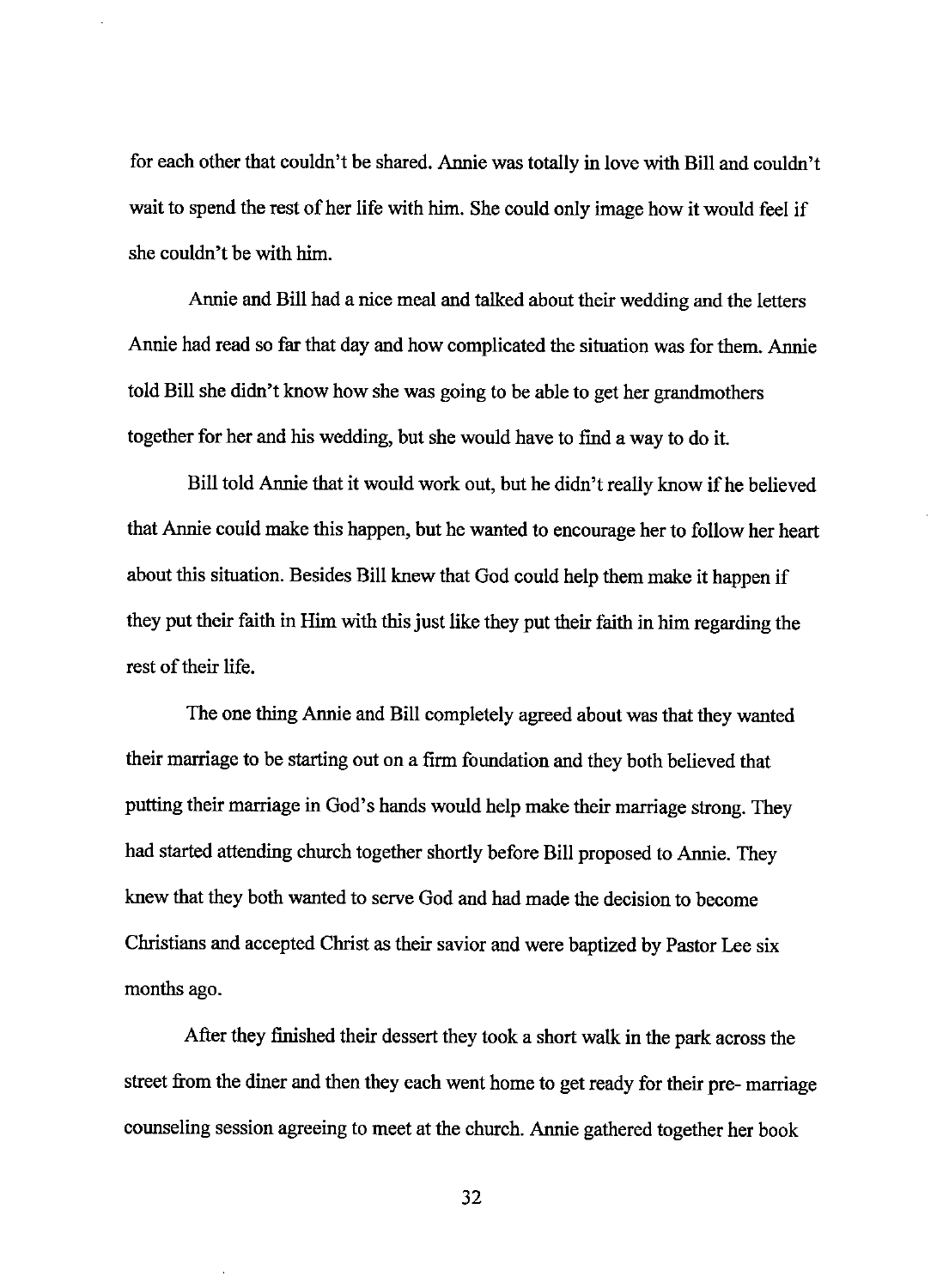for each other that couldn't be shared. Annie was totally in love with Bill and couldn't wait to spend the rest of her life with him. She could only image how it would feel if she couldn't be with him.

Annie and Bill had a nice meal and talked about their wedding and the letters Annie had read so far that day and how complicated the situation was for them. Annie told Bill she didn't know how she was going to be able to get her grandmothers together for her and his wedding, but she would have to find a way to do it.

Bill told Annie that it would work out, but he didn't really know if he believed that Annie could make this happen, but he wanted to encourage her to follow her heart about this situation. Besides Bill knew that God could help them make it happen if they put their faith in Hirn with this just like they put their faith in him regarding the rest of their life.

The one thing Annie and Bill completely agreed about was that they wanted their marriage to be starting out on a firm foundation and they both believed that putting their marriage in God's hands would help make their marriage strong. They had started attending church together shortly before Bill proposed to Annie. They knew that they both wanted to serve God and had made the decision to become Christians and accepted Christ as their savior and were baptized by Pastor Lee six months ago.

After they finished their dessert they took a short walk in the park across the street from the diner and then they each went home to get ready for their pre- marriage counseling session agreeing to meet at the church. Annie gathered together her book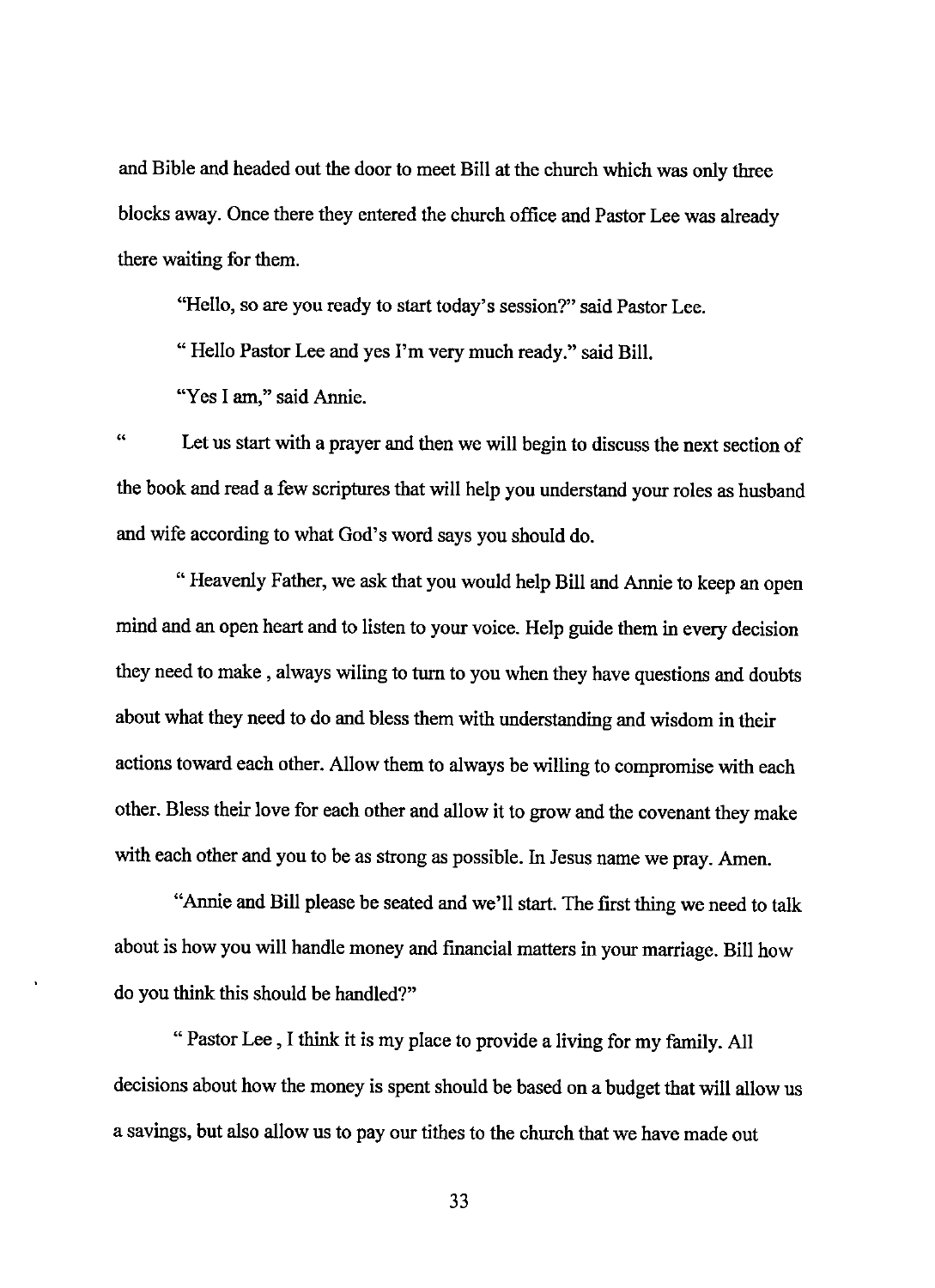and Bible and headed out the door to meet Bill at the church which was only three blocks away. Once there they entered the church office and Pastor Lee was already there waiting for them.

"Hello, so are you ready to start today's session?" said Pastor Lee.

"Hello Pastor Lee and yes I'm very much ready." said Bill.

"Yes I am," said Annie.

 $^{c}$ Let us start with a prayer and then we will begin to discuss the next section of the book and read a few scriptures that will help you understand your roles as husband and wife according to what God's word says you should do.

"Heavenly Father, we ask that you would help Bill and Annie to keep an open mind and an open heart and to listen to your voice. Help guide them in every decision they need to make , always wiling to turn to you when they have questions and doubts about what they need to do and bless them with understanding and wisdom in their actions toward each other. Allow them to always be willing to compromise with each other. Bless their love for each other and allow it to grow and the covenant they make with each other and you to be as strong as possible. In Jesus name we pray. Amen.

"Annie and Bill please be seated and we'll start. The first thing we need to talk about is how you will handle money and financial matters in your marriage. Bill how do you think this should be handled?"

"Pastor Lee, I think it is my place to provide a living for my family. All decisions about how the money is spent should be based on a budget that will allow us a savings, but also allow us to pay our tithes to the church that we have made out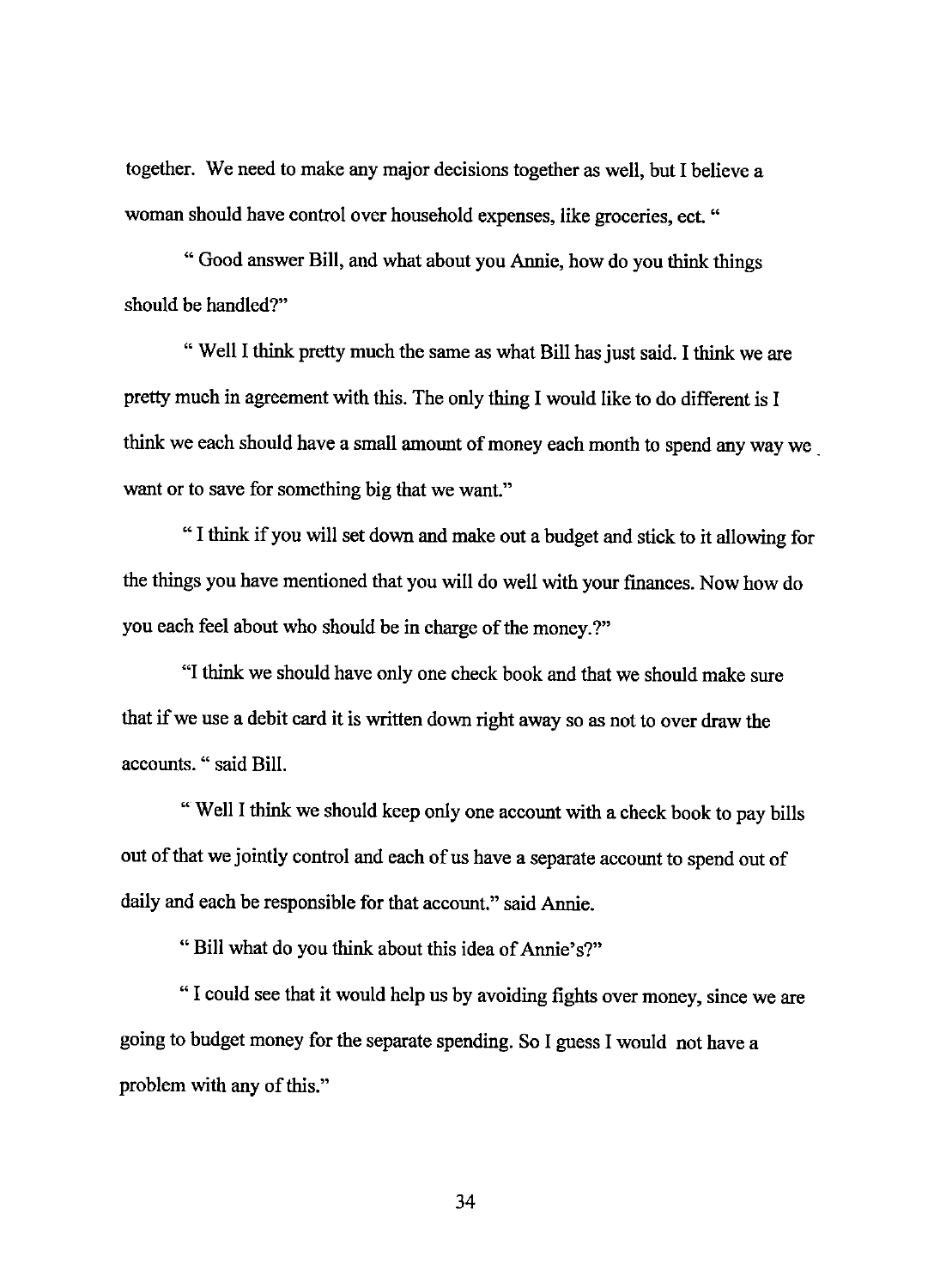together. We need to make any major decisions together as well, but I believe a woman should have control over household expenses, like groceries, ect. "

" Good answer Bill, and what about you Annie, how do you think things should be handled?"

" Well I think pretty much the same as what Bill has just said. I think we are pretty much in agreement with this. The only thing I would like to do different is I think we each should have a small amount of money each month to spend any way we . want or to save for something big that we want."

" I think if you will set down and make out a budget and stick to it allowing for the things you have mentioned that you will do well with your finances. Now how do you each feel about who should be in charge of the money.?"

"I think we should have only one check book and that we should make sure that if we use a debit card it is written down right away so as not to over draw the accounts. " said Bill.

" Well I think we should keep only one account with a check book to pay bills out of that we jointly control and each of us have a separate account to spend out of daily and each be responsible for that account." said Annie.

" Bill what do you think about this idea of Annie's?"

" I could see that it would help us by avoiding fights over money, since we are going to budget money for the separate spending. So I guess I would not have a problem with any of this."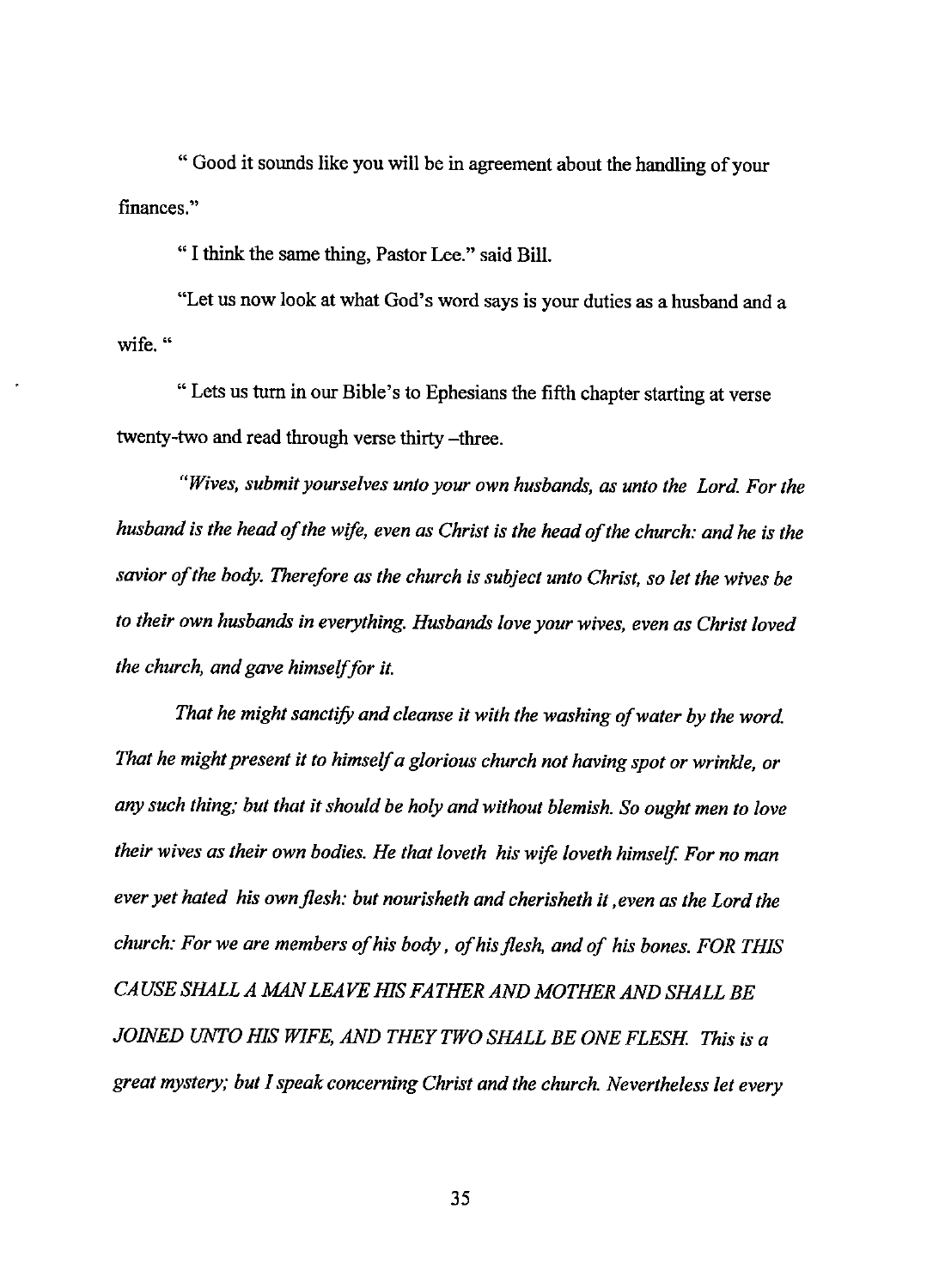" Good it sounds like you will be in agreement about the handling of your finances."

"I think the same thing, Pastor Lee." said Bill.

"Let us now look at what God's word says is your duties as a husband and a **wife."** 

"Lets us turn in our Bible's to Ephesians the fifth chapter starting at verse twenty-two and read through verse thirty -three.

*"Wives, submit yourselves unto your own husbands, as unto the Lord. For the husband is the head of the wife, even as Christ is the head of the church: and he is the savior of the body. Therefore as the church is subject unto Christ, so let the wives be to their own husbands in everything. Husbands love your wives, even as Christ loved the church, and gave himself for it.* 

That he might sanctify and cleanse it with the washing of water by the word. *That he might present it to himself a glorious church not having spot or wrinkle, or any such thing; but that it should be holy and without blemish. So ought men to love their wives as their own bodies. He that loveth his wife loveth himself. For no man ever yet hated his own flesh: but nourisheth and cherisheth it ,even as the Lord the church: For we are members of his body, of his flesh, and of his bones. FOR THIS CAUSE SHALLA MAN LEAVE HIS FATHER AND MOTHER AND SHALL BE*  JOINED UNTO HIS WIFE, AND THEY TWO SHALL BE ONE FLESH. This is a *great mystery; but I speak concerning Christ and the church. Nevertheless let every*